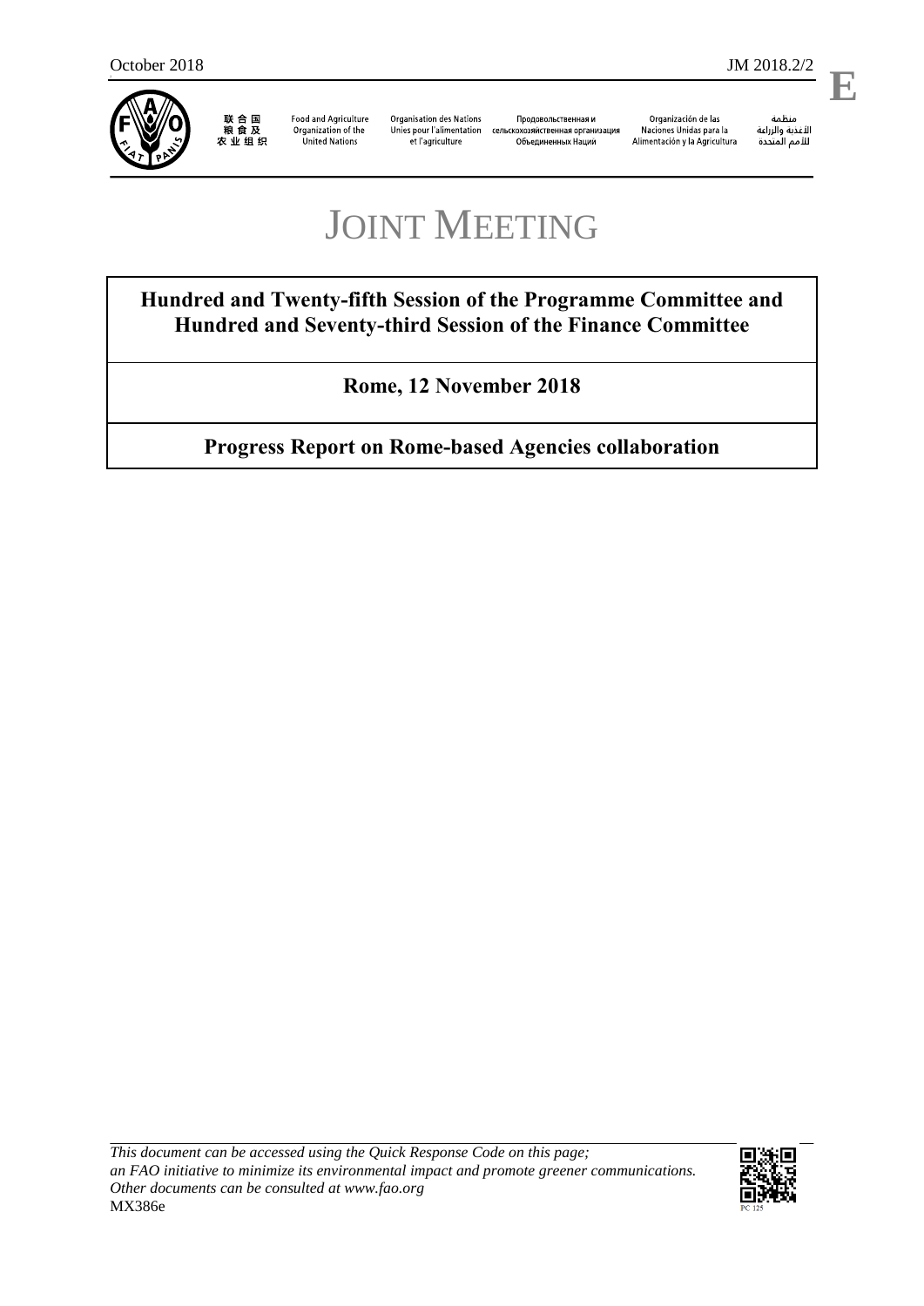2



联合国<br>粮食及<br>农业组织

**Food and Agriculture** Organization of the United Nations

**Organisation des Nations** Unies pour l'alimentation сельскохозяйственная организация et l'agriculture

Продовольственная и Объединенных Наций

Organización de las Naciones Unidas para la Alimentación y la Agricultura ستنسه<br>الأغذية والزراعة<br>للأمم المتددة

**E**

# JOINT MEETING

**Hundred and Twenty-fifth Session of the Programme Committee and Hundred and Seventy-third Session of the Finance Committee**

**Rome, 12 November 2018**

**Progress Report on Rome-based Agencies collaboration** 

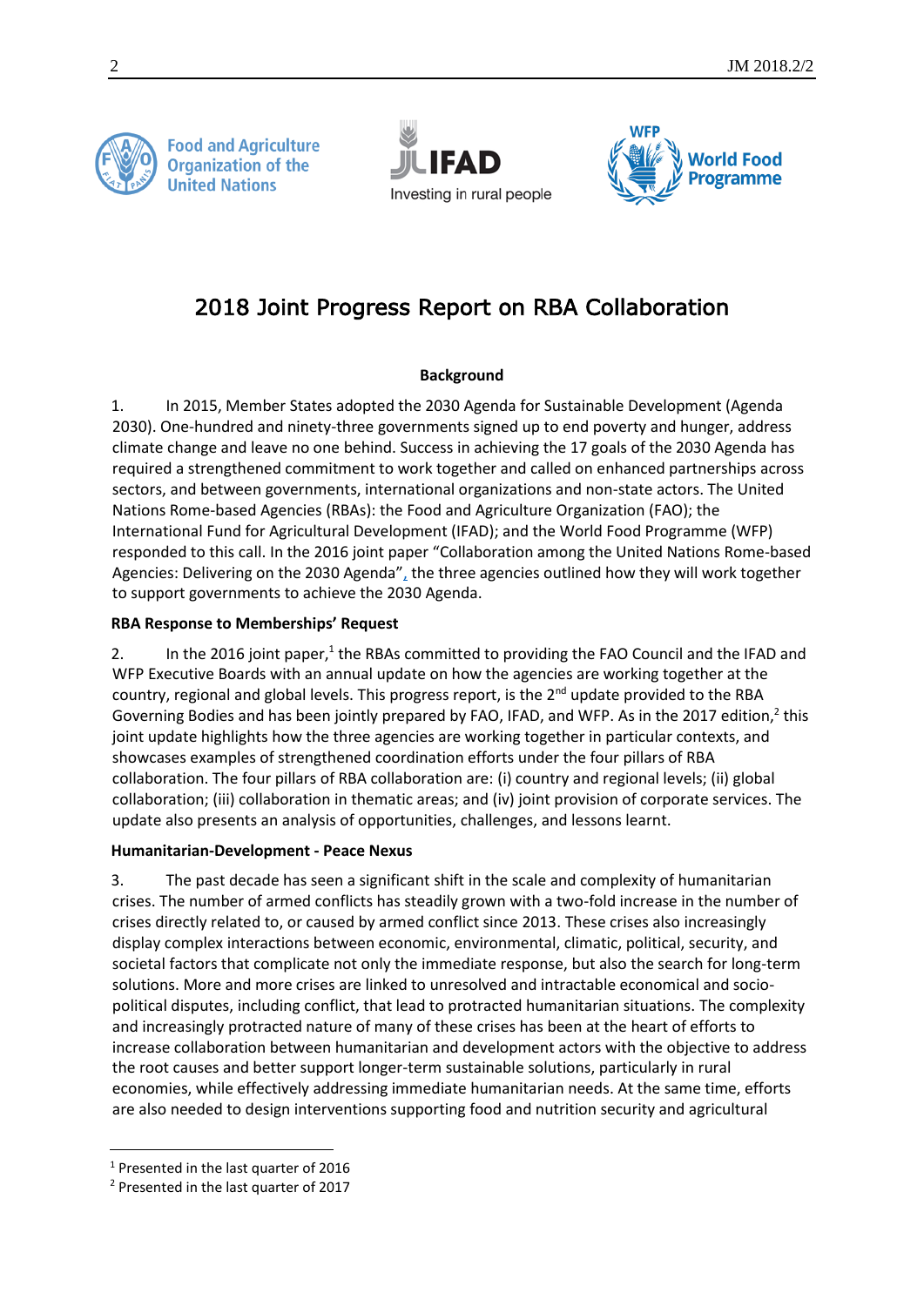

**Food and Agriculture Organization of the United Nations** 





# 2018 Joint Progress Report on RBA Collaboration

# **Background**

1. In 2015, Member States adopted the 2030 Agenda for Sustainable Development (Agenda 2030). One-hundred and ninety-three governments signed up to end poverty and hunger, address climate change and leave no one behind. Success in achieving the 17 goals of the 2030 Agenda has required a strengthened commitment to work together and called on enhanced partnerships across sectors, and between governments, international organizations and non-state actors. The United Nations Rome-based Agencies (RBAs): the Food and Agriculture Organization (FAO); the International Fund for Agricultural Development (IFAD); and the World Food Programme (WFP) responded to this call. In the 2016 joint paper "Collaboration among the United Nations Rome-based Agencies: Delivering on the 2030 Agenda", the three agencies outlined how they will work together to support governments to achieve the 2030 Agenda.

### **RBA Response to Memberships' Request**

2. In the 2016 joint paper, $1$  the RBAs committed to providing the FAO Council and the IFAD and WFP Executive Boards with an annual update on how the agencies are working together at the country, regional and global levels. This progress report, is the  $2<sup>nd</sup>$  update provided to the RBA Governing Bodies and has been jointly prepared by FAO, IFAD, and WFP. As in the 2017 edition,<sup>2</sup> this joint update highlights how the three agencies are working together in particular contexts, and showcases examples of strengthened coordination efforts under the four pillars of RBA collaboration. The four pillars of RBA collaboration are: (i) country and regional levels; (ii) global collaboration; (iii) collaboration in thematic areas; and (iv) joint provision of corporate services. The update also presents an analysis of opportunities, challenges, and lessons learnt.

### **Humanitarian-Development - Peace Nexus**

3. The past decade has seen a significant shift in the scale and complexity of humanitarian crises. The number of armed conflicts has steadily grown with a two-fold increase in the number of crises directly related to, or caused by armed conflict since 2013. These crises also increasingly display complex interactions between economic, environmental, climatic, political, security, and societal factors that complicate not only the immediate response, but also the search for long-term solutions. More and more crises are linked to unresolved and intractable economical and sociopolitical disputes, including conflict, that lead to protracted humanitarian situations. The complexity and increasingly protracted nature of many of these crises has been at the heart of efforts to increase collaboration between humanitarian and development actors with the objective to address the root causes and better support longer-term sustainable solutions, particularly in rural economies, while effectively addressing immediate humanitarian needs. At the same time, efforts are also needed to design interventions supporting food and nutrition security and agricultural

l

<sup>1</sup> Presented in the last quarter of 2016

<sup>2</sup> Presented in the last quarter of 2017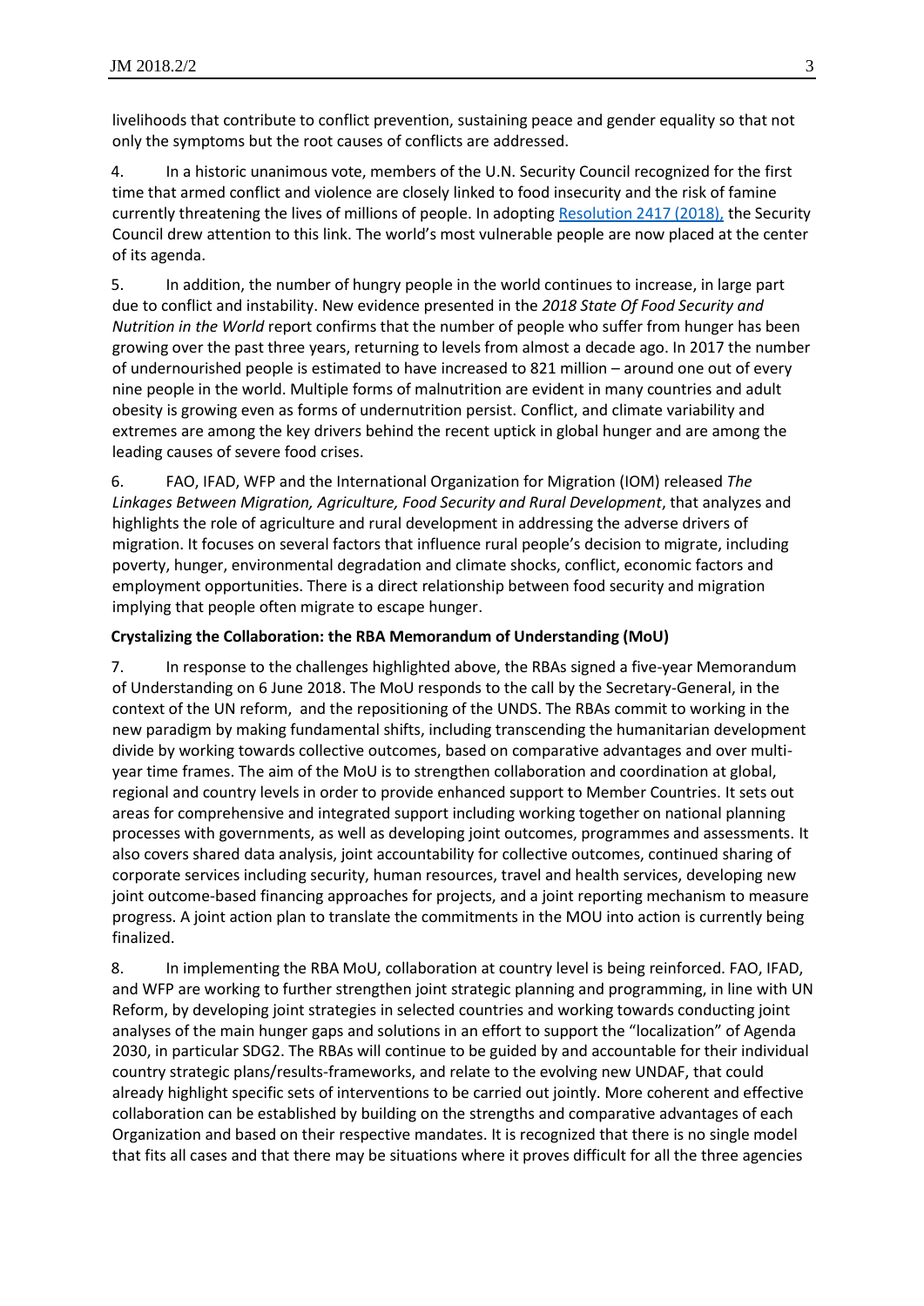livelihoods that contribute to conflict prevention, sustaining peace and gender equality so that not only the symptoms but the root causes of conflicts are addressed.

4. In a historic unanimous vote, members of the U.N. Security Council recognized for the first time that armed conflict and violence are closely linked to food insecurity and the risk of famine currently threatening the lives of millions of people. In adopting [Resolution 2417 \(2018\),](https://undocs.org/S/RES/2417(2018)) the Security Council drew attention to this link. The world's most vulnerable people are now placed at the center of its agenda.

5. In addition, the number of hungry people in the world continues to increase, in large part due to conflict and instability. New evidence presented in the *2018 State Of Food Security and Nutrition in the World* report confirms that the number of people who suffer from hunger has been growing over the past three years, returning to levels from almost a decade ago. In 2017 the number of undernourished people is estimated to have increased to 821 million – around one out of every nine people in the world. Multiple forms of malnutrition are evident in many countries and adult obesity is growing even as forms of undernutrition persist. Conflict, and climate variability and extremes are among the key drivers behind the recent uptick in global hunger and are among the leading causes of severe food crises.

6. FAO, IFAD, WFP and the International Organization for Migration (IOM) released *The Linkages Between Migration, Agriculture, Food Security and Rural Development*, that analyzes and highlights the role of agriculture and rural development in addressing the adverse drivers of migration. It focuses on several factors that influence rural people's decision to migrate, including poverty, hunger, environmental degradation and climate shocks, conflict, economic factors and employment opportunities. There is a direct relationship between food security and migration implying that people often migrate to escape hunger.

#### **Crystalizing the Collaboration: the RBA Memorandum of Understanding (MoU)**

7. In response to the challenges highlighted above, the RBAs signed a five-year Memorandum of Understanding on 6 June 2018. The MoU responds to the call by the Secretary-General, in the context of the UN reform, and the repositioning of the UNDS. The RBAs commit to working in the new paradigm by making fundamental shifts, including transcending the humanitarian development divide by working towards collective outcomes, based on comparative advantages and over multiyear time frames. The aim of the MoU is to strengthen collaboration and coordination at global, regional and country levels in order to provide enhanced support to Member Countries. It sets out areas for comprehensive and integrated support including working together on national planning processes with governments, as well as developing joint outcomes, programmes and assessments. It also covers shared data analysis, joint accountability for collective outcomes, continued sharing of corporate services including security, human resources, travel and health services, developing new joint outcome-based financing approaches for projects, and a joint reporting mechanism to measure progress. A joint action plan to translate the commitments in the MOU into action is currently being finalized.

8. In implementing the RBA MoU, collaboration at country level is being reinforced. FAO, IFAD, and WFP are working to further strengthen joint strategic planning and programming, in line with UN Reform, by developing joint strategies in selected countries and working towards conducting joint analyses of the main hunger gaps and solutions in an effort to support the "localization" of Agenda 2030, in particular SDG2. The RBAs will continue to be guided by and accountable for their individual country strategic plans/results-frameworks, and relate to the evolving new UNDAF, that could already highlight specific sets of interventions to be carried out jointly. More coherent and effective collaboration can be established by building on the strengths and comparative advantages of each Organization and based on their respective mandates. It is recognized that there is no single model that fits all cases and that there may be situations where it proves difficult for all the three agencies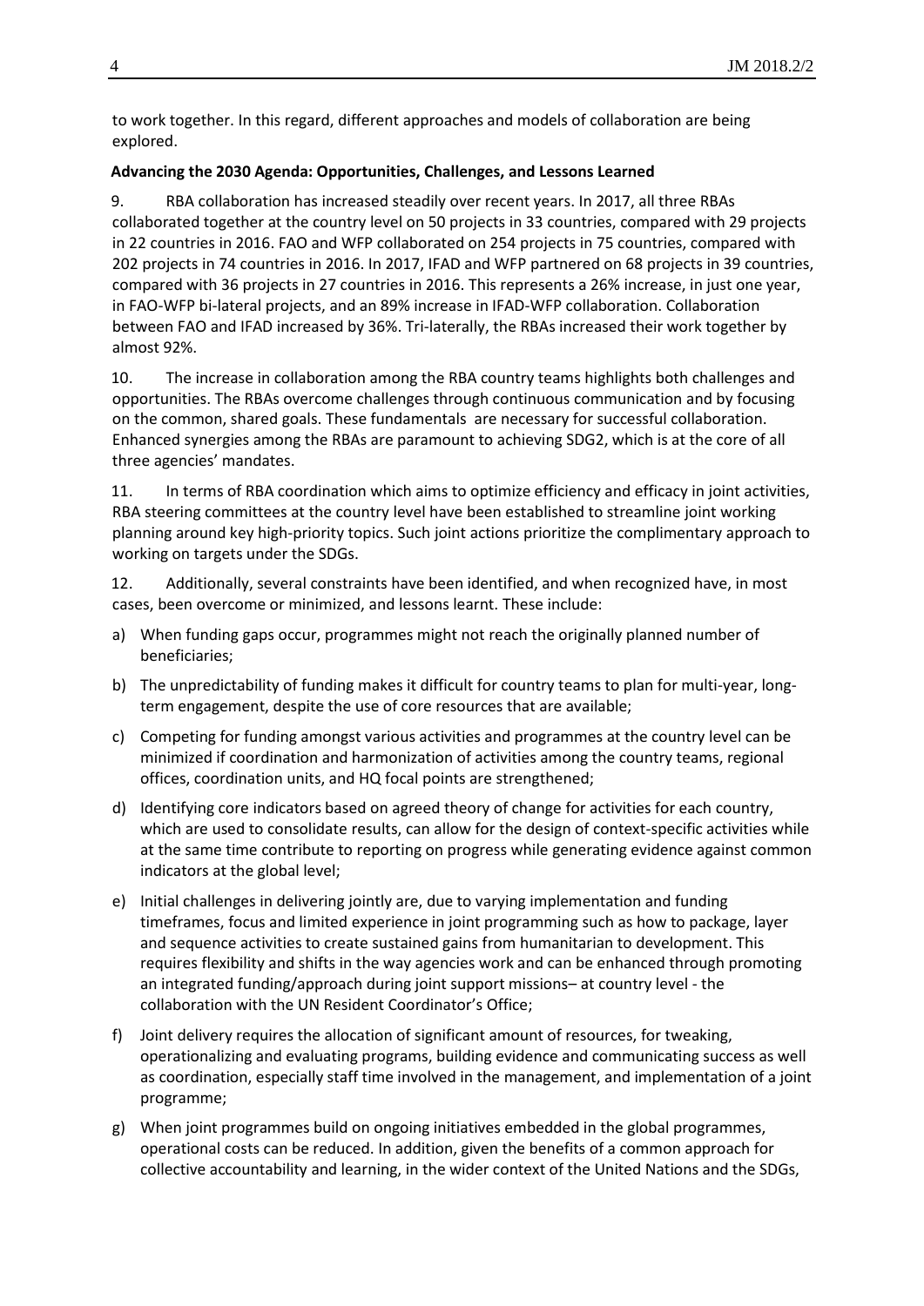to work together. In this regard, different approaches and models of collaboration are being explored.

#### **Advancing the 2030 Agenda: Opportunities, Challenges, and Lessons Learned**

9. RBA collaboration has increased steadily over recent years. In 2017, all three RBAs collaborated together at the country level on 50 projects in 33 countries, compared with 29 projects in 22 countries in 2016. FAO and WFP collaborated on 254 projects in 75 countries, compared with 202 projects in 74 countries in 2016. In 2017, IFAD and WFP partnered on 68 projects in 39 countries, compared with 36 projects in 27 countries in 2016. This represents a 26% increase, in just one year, in FAO-WFP bi-lateral projects, and an 89% increase in IFAD-WFP collaboration. Collaboration between FAO and IFAD increased by 36%. Tri-laterally, the RBAs increased their work together by almost 92%.

10. The increase in collaboration among the RBA country teams highlights both challenges and opportunities. The RBAs overcome challenges through continuous communication and by focusing on the common, shared goals. These fundamentals are necessary for successful collaboration. Enhanced synergies among the RBAs are paramount to achieving SDG2, which is at the core of all three agencies' mandates.

11. In terms of RBA coordination which aims to optimize efficiency and efficacy in joint activities, RBA steering committees at the country level have been established to streamline joint working planning around key high-priority topics. Such joint actions prioritize the complimentary approach to working on targets under the SDGs.

12. Additionally, several constraints have been identified, and when recognized have, in most cases, been overcome or minimized, and lessons learnt. These include:

- a) When funding gaps occur, programmes might not reach the originally planned number of beneficiaries;
- b) The unpredictability of funding makes it difficult for country teams to plan for multi-year, longterm engagement, despite the use of core resources that are available;
- c) Competing for funding amongst various activities and programmes at the country level can be minimized if coordination and harmonization of activities among the country teams, regional offices, coordination units, and HQ focal points are strengthened;
- d) Identifying core indicators based on agreed theory of change for activities for each country, which are used to consolidate results, can allow for the design of context-specific activities while at the same time contribute to reporting on progress while generating evidence against common indicators at the global level;
- e) Initial challenges in delivering jointly are, due to varying implementation and funding timeframes, focus and limited experience in joint programming such as how to package, layer and sequence activities to create sustained gains from humanitarian to development. This requires flexibility and shifts in the way agencies work and can be enhanced through promoting an integrated funding/approach during joint support missions– at country level - the collaboration with the UN Resident Coordinator's Office;
- f) Joint delivery requires the allocation of significant amount of resources, for tweaking, operationalizing and evaluating programs, building evidence and communicating success as well as coordination, especially staff time involved in the management, and implementation of a joint programme;
- g) When joint programmes build on ongoing initiatives embedded in the global programmes, operational costs can be reduced. In addition, given the benefits of a common approach for collective accountability and learning, in the wider context of the United Nations and the SDGs,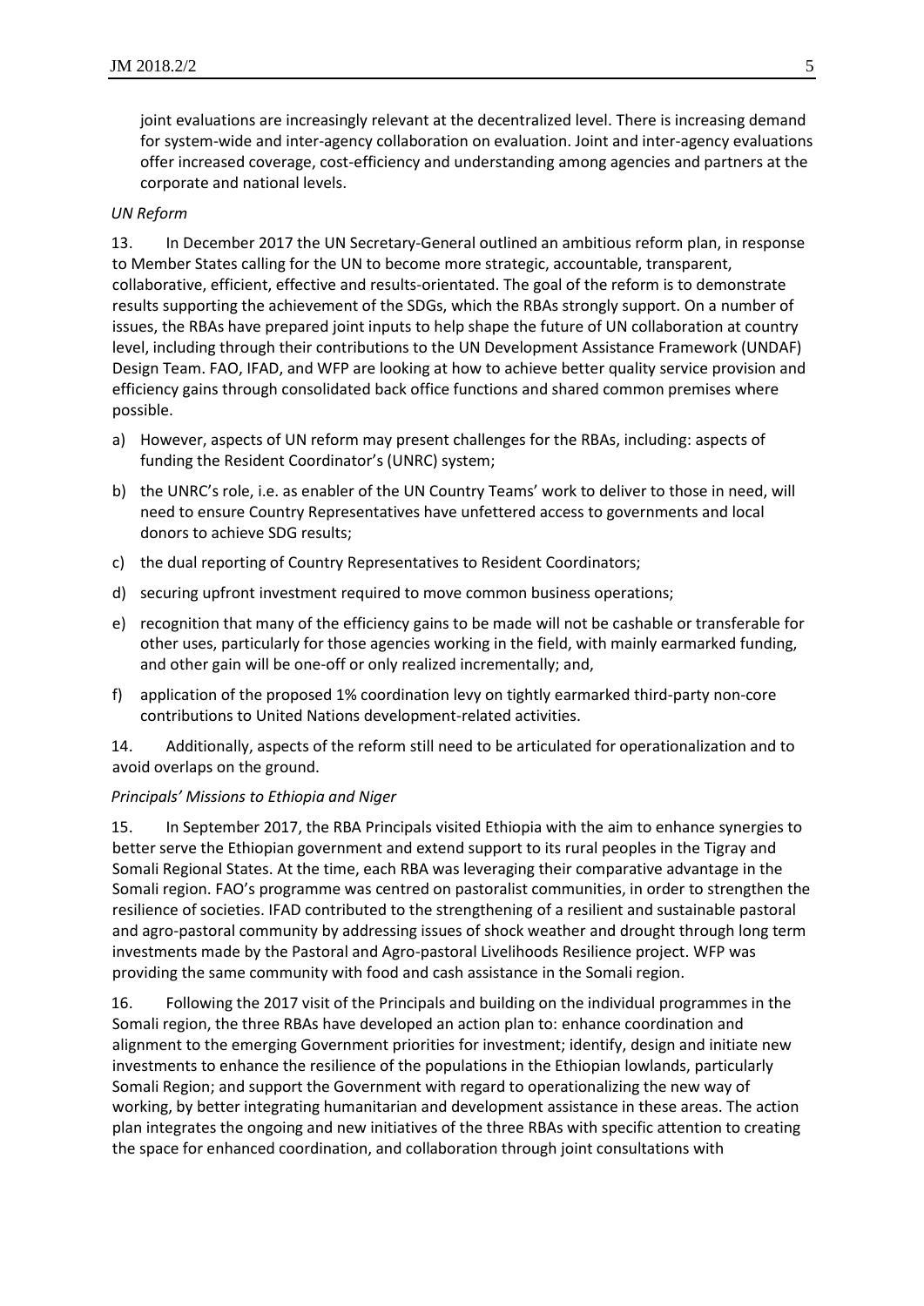joint evaluations are increasingly relevant at the decentralized level. There is increasing demand for system-wide and inter-agency collaboration on evaluation. Joint and inter-agency evaluations offer increased coverage, cost-efficiency and understanding among agencies and partners at the corporate and national levels.

#### *UN Reform*

13. In December 2017 the UN Secretary-General outlined an ambitious reform plan, in response to Member States calling for the UN to become more strategic, accountable, transparent, collaborative, efficient, effective and results-orientated. The goal of the reform is to demonstrate results supporting the achievement of the SDGs, which the RBAs strongly support. On a number of issues, the RBAs have prepared joint inputs to help shape the future of UN collaboration at country level, including through their contributions to the UN Development Assistance Framework (UNDAF) Design Team. FAO, IFAD, and WFP are looking at how to achieve better quality service provision and efficiency gains through consolidated back office functions and shared common premises where possible.

- a) However, aspects of UN reform may present challenges for the RBAs, including: aspects of funding the Resident Coordinator's (UNRC) system;
- b) the UNRC's role, i.e. as enabler of the UN Country Teams' work to deliver to those in need, will need to ensure Country Representatives have unfettered access to governments and local donors to achieve SDG results;
- c) the dual reporting of Country Representatives to Resident Coordinators;
- d) securing upfront investment required to move common business operations;
- e) recognition that many of the efficiency gains to be made will not be cashable or transferable for other uses, particularly for those agencies working in the field, with mainly earmarked funding, and other gain will be one-off or only realized incrementally; and,
- f) application of the proposed 1% coordination levy on tightly earmarked third-party non-core contributions to United Nations development-related activities.

14. Additionally, aspects of the reform still need to be articulated for operationalization and to avoid overlaps on the ground.

#### *Principals' Missions to Ethiopia and Niger*

15. In September 2017, the RBA Principals visited Ethiopia with the aim to enhance synergies to better serve the Ethiopian government and extend support to its rural peoples in the Tigray and Somali Regional States. At the time, each RBA was leveraging their comparative advantage in the Somali region. FAO's programme was centred on pastoralist communities, in order to strengthen the resilience of societies. IFAD contributed to the strengthening of a resilient and sustainable pastoral and agro-pastoral community by addressing issues of shock weather and drought through long term investments made by the Pastoral and Agro-pastoral Livelihoods Resilience project. WFP was providing the same community with food and cash assistance in the Somali region.

16. Following the 2017 visit of the Principals and building on the individual programmes in the Somali region, the three RBAs have developed an action plan to: enhance coordination and alignment to the emerging Government priorities for investment; identify, design and initiate new investments to enhance the resilience of the populations in the Ethiopian lowlands, particularly Somali Region; and support the Government with regard to operationalizing the new way of working, by better integrating humanitarian and development assistance in these areas. The action plan integrates the ongoing and new initiatives of the three RBAs with specific attention to creating the space for enhanced coordination, and collaboration through joint consultations with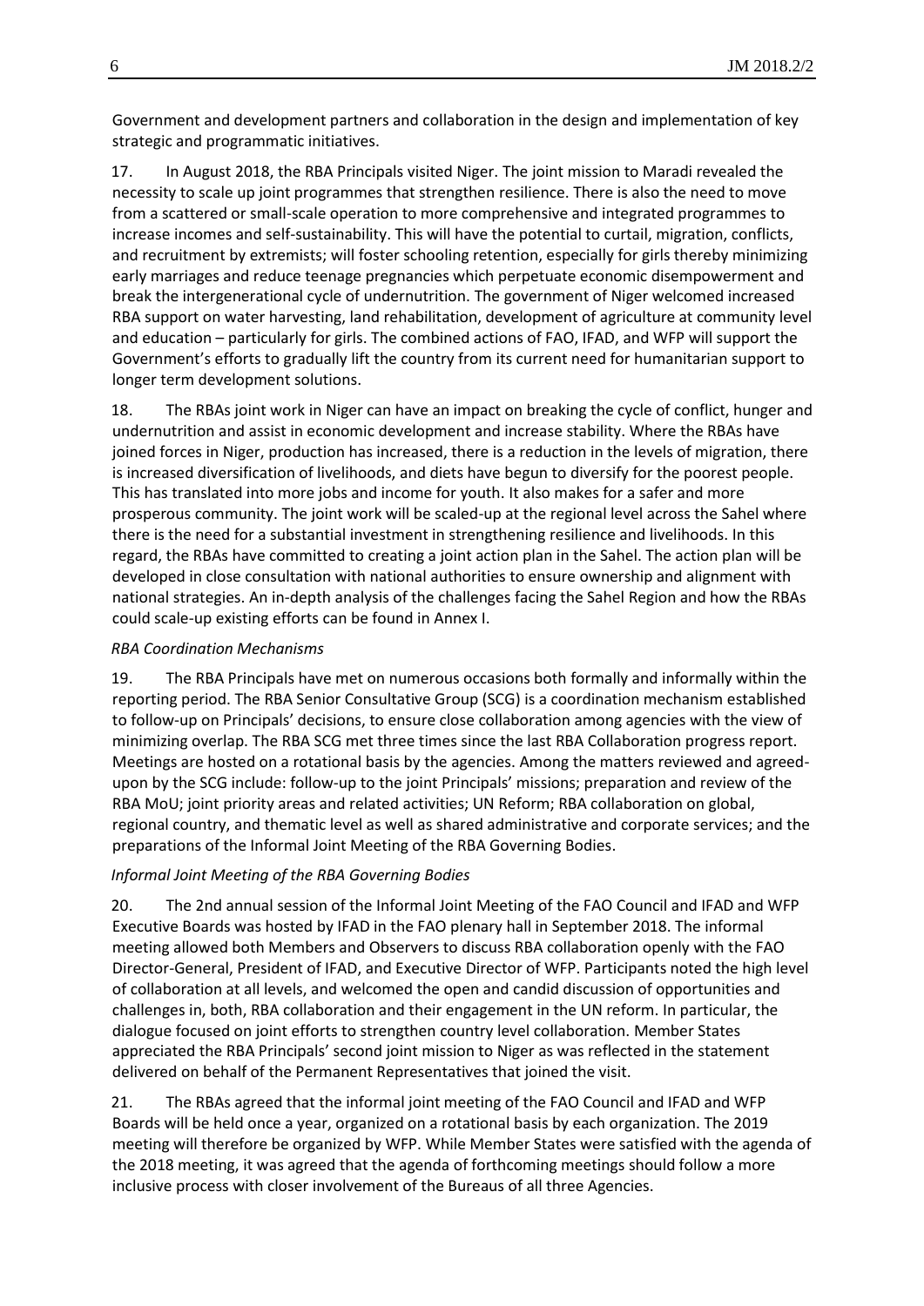Government and development partners and collaboration in the design and implementation of key strategic and programmatic initiatives.

17. In August 2018, the RBA Principals visited Niger. The joint mission to Maradi revealed the necessity to scale up joint programmes that strengthen resilience. There is also the need to move from a scattered or small-scale operation to more comprehensive and integrated programmes to increase incomes and self-sustainability. This will have the potential to curtail, migration, conflicts, and recruitment by extremists; will foster schooling retention, especially for girls thereby minimizing early marriages and reduce teenage pregnancies which perpetuate economic disempowerment and break the intergenerational cycle of undernutrition. The government of Niger welcomed increased RBA support on water harvesting, land rehabilitation, development of agriculture at community level and education – particularly for girls. The combined actions of FAO, IFAD, and WFP will support the Government's efforts to gradually lift the country from its current need for humanitarian support to longer term development solutions.

18. The RBAs joint work in Niger can have an impact on breaking the cycle of conflict, hunger and undernutrition and assist in economic development and increase stability. Where the RBAs have joined forces in Niger, production has increased, there is a reduction in the levels of migration, there is increased diversification of livelihoods, and diets have begun to diversify for the poorest people. This has translated into more jobs and income for youth. It also makes for a safer and more prosperous community. The joint work will be scaled-up at the regional level across the Sahel where there is the need for a substantial investment in strengthening resilience and livelihoods. In this regard, the RBAs have committed to creating a joint action plan in the Sahel. The action plan will be developed in close consultation with national authorities to ensure ownership and alignment with national strategies. An in-depth analysis of the challenges facing the Sahel Region and how the RBAs could scale-up existing efforts can be found in Annex I.

#### *RBA Coordination Mechanisms*

19. The RBA Principals have met on numerous occasions both formally and informally within the reporting period. The RBA Senior Consultative Group (SCG) is a coordination mechanism established to follow-up on Principals' decisions, to ensure close collaboration among agencies with the view of minimizing overlap. The RBA SCG met three times since the last RBA Collaboration progress report. Meetings are hosted on a rotational basis by the agencies. Among the matters reviewed and agreedupon by the SCG include: follow-up to the joint Principals' missions; preparation and review of the RBA MoU; joint priority areas and related activities; UN Reform; RBA collaboration on global, regional country, and thematic level as well as shared administrative and corporate services; and the preparations of the Informal Joint Meeting of the RBA Governing Bodies.

### *Informal Joint Meeting of the RBA Governing Bodies*

20. The 2nd annual session of the Informal Joint Meeting of the FAO Council and IFAD and WFP Executive Boards was hosted by IFAD in the FAO plenary hall in September 2018. The informal meeting allowed both Members and Observers to discuss RBA collaboration openly with the FAO Director-General, President of IFAD, and Executive Director of WFP. Participants noted the high level of collaboration at all levels, and welcomed the open and candid discussion of opportunities and challenges in, both, RBA collaboration and their engagement in the UN reform. In particular, the dialogue focused on joint efforts to strengthen country level collaboration. Member States appreciated the RBA Principals' second joint mission to Niger as was reflected in the statement delivered on behalf of the Permanent Representatives that joined the visit.

21. The RBAs agreed that the informal joint meeting of the FAO Council and IFAD and WFP Boards will be held once a year, organized on a rotational basis by each organization. The 2019 meeting will therefore be organized by WFP. While Member States were satisfied with the agenda of the 2018 meeting, it was agreed that the agenda of forthcoming meetings should follow a more inclusive process with closer involvement of the Bureaus of all three Agencies.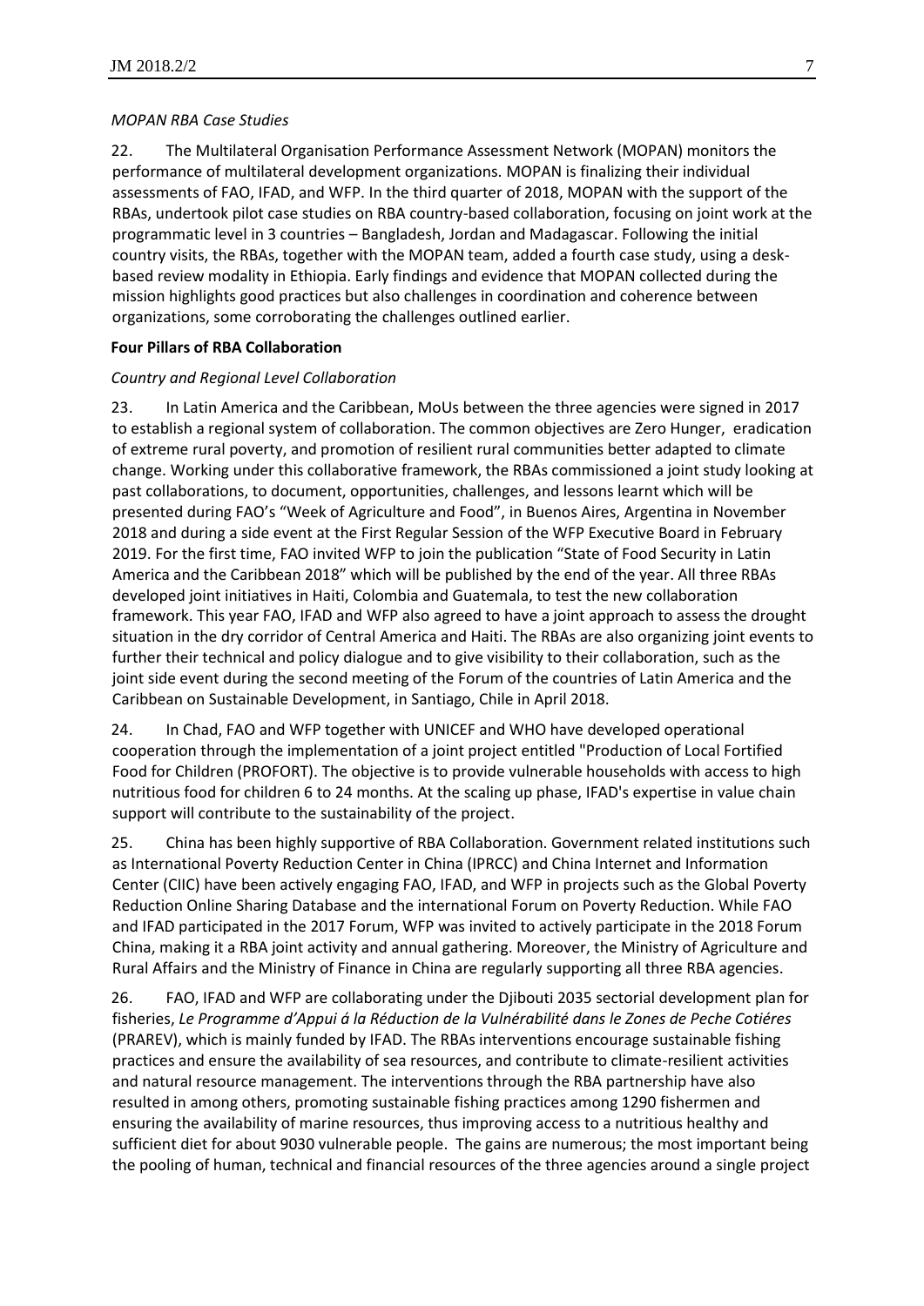#### *MOPAN RBA Case Studies*

22. The Multilateral Organisation Performance Assessment Network (MOPAN) monitors the performance of multilateral development organizations. MOPAN is finalizing their individual assessments of FAO, IFAD, and WFP. In the third quarter of 2018, MOPAN with the support of the RBAs, undertook pilot case studies on RBA country-based collaboration, focusing on joint work at the programmatic level in 3 countries – Bangladesh, Jordan and Madagascar. Following the initial country visits, the RBAs, together with the MOPAN team, added a fourth case study, using a deskbased review modality in Ethiopia. Early findings and evidence that MOPAN collected during the mission highlights good practices but also challenges in coordination and coherence between organizations, some corroborating the challenges outlined earlier.

#### **Four Pillars of RBA Collaboration**

#### *Country and Regional Level Collaboration*

23. In Latin America and the Caribbean, MoUs between the three agencies were signed in 2017 to establish a regional system of collaboration. The common objectives are Zero Hunger, eradication of extreme rural poverty, and promotion of resilient rural communities better adapted to climate change. Working under this collaborative framework, the RBAs commissioned a joint study looking at past collaborations, to document, opportunities, challenges, and lessons learnt which will be presented during FAO's "Week of Agriculture and Food", in Buenos Aires, Argentina in November 2018 and during a side event at the First Regular Session of the WFP Executive Board in February 2019. For the first time, FAO invited WFP to join the publication "State of Food Security in Latin America and the Caribbean 2018" which will be published by the end of the year. All three RBAs developed joint initiatives in Haiti, Colombia and Guatemala, to test the new collaboration framework. This year FAO, IFAD and WFP also agreed to have a joint approach to assess the drought situation in the dry corridor of Central America and Haiti. The RBAs are also organizing joint events to further their technical and policy dialogue and to give visibility to their collaboration, such as the joint side event during the second meeting of the Forum of the countries of Latin America and the Caribbean on Sustainable Development, in Santiago, Chile in April 2018.

24. In Chad, FAO and WFP together with UNICEF and WHO have developed operational cooperation through the implementation of a joint project entitled "Production of Local Fortified Food for Children (PROFORT). The objective is to provide vulnerable households with access to high nutritious food for children 6 to 24 months. At the scaling up phase, IFAD's expertise in value chain support will contribute to the sustainability of the project.

25. China has been highly supportive of RBA Collaboration. Government related institutions such as International Poverty Reduction Center in China (IPRCC) and China Internet and Information Center (CIIC) have been actively engaging FAO, IFAD, and WFP in projects such as the Global Poverty Reduction Online Sharing Database and the international Forum on Poverty Reduction. While FAO and IFAD participated in the 2017 Forum, WFP was invited to actively participate in the 2018 Forum China, making it a RBA joint activity and annual gathering. Moreover, the Ministry of Agriculture and Rural Affairs and the Ministry of Finance in China are regularly supporting all three RBA agencies.

26. FAO, IFAD and WFP are collaborating under the Djibouti 2035 sectorial development plan for fisheries, *Le Programme d'Appui á la Réduction de la Vulnérabilité dans le Zones de Peche Cotiéres* (PRAREV), which is mainly funded by IFAD. The RBAs interventions encourage sustainable fishing practices and ensure the availability of sea resources, and contribute to climate-resilient activities and natural resource management. The interventions through the RBA partnership have also resulted in among others, promoting sustainable fishing practices among 1290 fishermen and ensuring the availability of marine resources, thus improving access to a nutritious healthy and sufficient diet for about 9030 vulnerable people. The gains are numerous; the most important being the pooling of human, technical and financial resources of the three agencies around a single project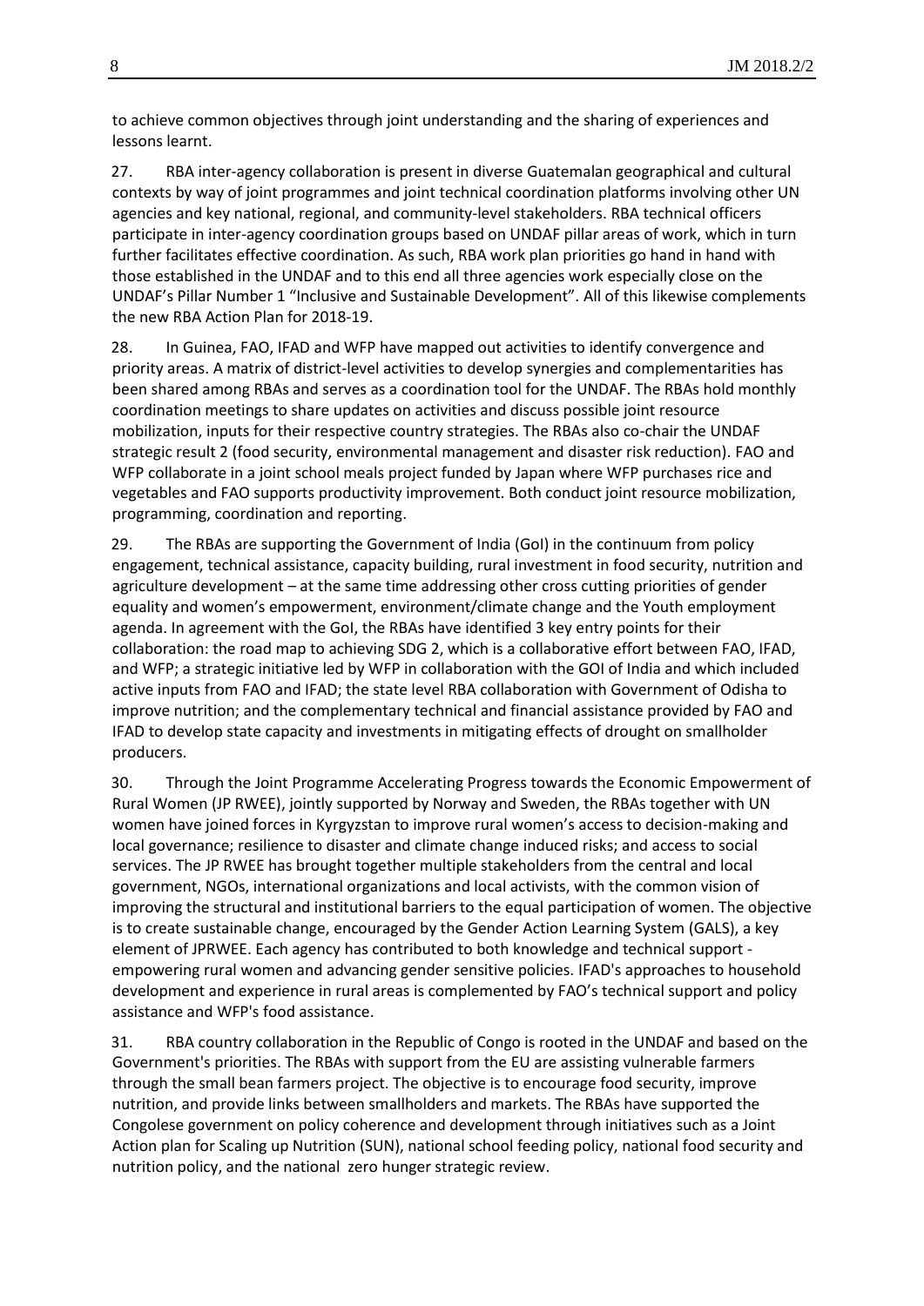to achieve common objectives through joint understanding and the sharing of experiences and lessons learnt.

27. RBA inter-agency collaboration is present in diverse Guatemalan geographical and cultural contexts by way of joint programmes and joint technical coordination platforms involving other UN agencies and key national, regional, and community-level stakeholders. RBA technical officers participate in inter-agency coordination groups based on UNDAF pillar areas of work, which in turn further facilitates effective coordination. As such, RBA work plan priorities go hand in hand with those established in the UNDAF and to this end all three agencies work especially close on the UNDAF's Pillar Number 1 "Inclusive and Sustainable Development". All of this likewise complements the new RBA Action Plan for 2018-19.

28. In Guinea, FAO, IFAD and WFP have mapped out activities to identify convergence and priority areas. A matrix of district-level activities to develop synergies and complementarities has been shared among RBAs and serves as a coordination tool for the UNDAF. The RBAs hold monthly coordination meetings to share updates on activities and discuss possible joint resource mobilization, inputs for their respective country strategies. The RBAs also co-chair the UNDAF strategic result 2 (food security, environmental management and disaster risk reduction). FAO and WFP collaborate in a joint school meals project funded by Japan where WFP purchases rice and vegetables and FAO supports productivity improvement. Both conduct joint resource mobilization, programming, coordination and reporting.

29. The RBAs are supporting the Government of India (GoI) in the continuum from policy engagement, technical assistance, capacity building, rural investment in food security, nutrition and agriculture development – at the same time addressing other cross cutting priorities of gender equality and women's empowerment, environment/climate change and the Youth employment agenda. In agreement with the GoI, the RBAs have identified 3 key entry points for their collaboration: the road map to achieving SDG 2, which is a collaborative effort between FAO, IFAD, and WFP; a strategic initiative led by WFP in collaboration with the GOI of India and which included active inputs from FAO and IFAD; the state level RBA collaboration with Government of Odisha to improve nutrition; and the complementary technical and financial assistance provided by FAO and IFAD to develop state capacity and investments in mitigating effects of drought on smallholder producers.

30. Through the Joint Programme Accelerating Progress towards the Economic Empowerment of Rural Women (JP RWEE), jointly supported by Norway and Sweden, the RBAs together with UN women have joined forces in Kyrgyzstan to improve rural women's access to decision-making and local governance; resilience to disaster and climate change induced risks; and access to social services. The JP RWEE has brought together multiple stakeholders from the central and local government, NGOs, international organizations and local activists, with the common vision of improving the structural and institutional barriers to the equal participation of women. The objective is to create sustainable change, encouraged by the Gender Action Learning System (GALS), a key element of JPRWEE. Each agency has contributed to both knowledge and technical support empowering rural women and advancing gender sensitive policies. IFAD's approaches to household development and experience in rural areas is complemented by FAO's technical support and policy assistance and WFP's food assistance.

31. RBA country collaboration in the Republic of Congo is rooted in the UNDAF and based on the Government's priorities. The RBAs with support from the EU are assisting vulnerable farmers through the small bean farmers project. The objective is to encourage food security, improve nutrition, and provide links between smallholders and markets. The RBAs have supported the Congolese government on policy coherence and development through initiatives such as a Joint Action plan for Scaling up Nutrition (SUN), national school feeding policy, national food security and nutrition policy, and the national zero hunger strategic review.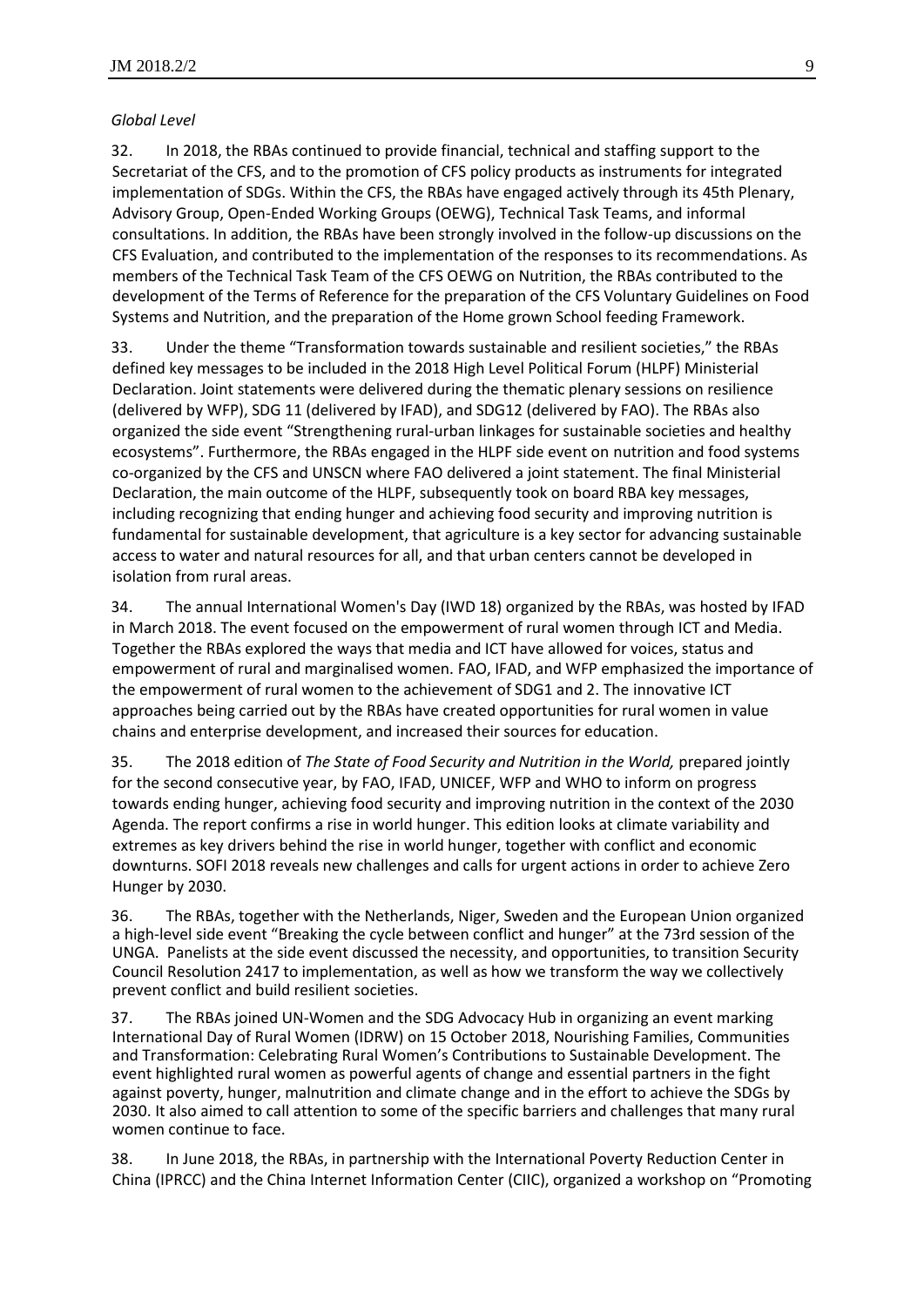#### *Global Level*

32. In 2018, the RBAs continued to provide financial, technical and staffing support to the Secretariat of the CFS, and to the promotion of CFS policy products as instruments for integrated implementation of SDGs. Within the CFS, the RBAs have engaged actively through its 45th Plenary, Advisory Group, Open-Ended Working Groups (OEWG), Technical Task Teams, and informal consultations. In addition, the RBAs have been strongly involved in the follow-up discussions on the CFS Evaluation, and contributed to the implementation of the responses to its recommendations. As members of the Technical Task Team of the CFS OEWG on Nutrition, the RBAs contributed to the development of the Terms of Reference for the preparation of the CFS Voluntary Guidelines on Food Systems and Nutrition, and the preparation of the Home grown School feeding Framework.

33. Under the theme "Transformation towards sustainable and resilient societies," the RBAs defined key messages to be included in the 2018 High Level Political Forum (HLPF) Ministerial Declaration. Joint statements were delivered during the thematic plenary sessions on resilience (delivered by WFP), SDG 11 (delivered by IFAD), and SDG12 (delivered by FAO). The RBAs also organized the side event "Strengthening rural-urban linkages for sustainable societies and healthy ecosystems". Furthermore, the RBAs engaged in the HLPF side event on nutrition and food systems co-organized by the CFS and UNSCN where FAO delivered a joint statement. The final Ministerial Declaration, the main outcome of the HLPF, subsequently took on board RBA key messages, including recognizing that ending hunger and achieving food security and improving nutrition is fundamental for sustainable development, that agriculture is a key sector for advancing sustainable access to water and natural resources for all, and that urban centers cannot be developed in isolation from rural areas.

34. The annual International Women's Day (IWD 18) organized by the RBAs, was hosted by IFAD in March 2018. The event focused on the empowerment of rural women through ICT and Media. Together the RBAs explored the ways that media and ICT have allowed for voices, status and empowerment of rural and marginalised women. FAO, IFAD, and WFP emphasized the importance of the empowerment of rural women to the achievement of SDG1 and 2. The innovative ICT approaches being carried out by the RBAs have created opportunities for rural women in value chains and enterprise development, and increased their sources for education.

35. The 2018 edition of *The State of Food Security and Nutrition in the World,* prepared jointly for the second consecutive year, by FAO, IFAD, UNICEF, WFP and WHO to inform on progress towards ending hunger, achieving food security and improving nutrition in the context of the 2030 Agenda. The report confirms a rise in world hunger. This edition looks at climate variability and extremes as key drivers behind the rise in world hunger, together with conflict and economic downturns. SOFI 2018 reveals new challenges and calls for urgent actions in order to achieve Zero Hunger by 2030.

36. The RBAs, together with the Netherlands, Niger, Sweden and the European Union organized a high-level side event "Breaking the cycle between conflict and hunger" at the 73rd session of the UNGA. Panelists at the side event discussed the necessity, and opportunities, to transition Security Council Resolution 2417 to implementation, as well as how we transform the way we collectively prevent conflict and build resilient societies.

37. The RBAs joined UN-Women and the SDG Advocacy Hub in organizing an event marking International Day of Rural Women (IDRW) on 15 October 2018, Nourishing Families, Communities and Transformation: Celebrating Rural Women's Contributions to Sustainable Development. The event highlighted rural women as powerful agents of change and essential partners in the fight against poverty, hunger, malnutrition and climate change and in the effort to achieve the SDGs by 2030. It also aimed to call attention to some of the specific barriers and challenges that many rural women continue to face.

38. In June 2018, the RBAs, in partnership with the International Poverty Reduction Center in China (IPRCC) and the China Internet Information Center (CIIC), organized a workshop on "Promoting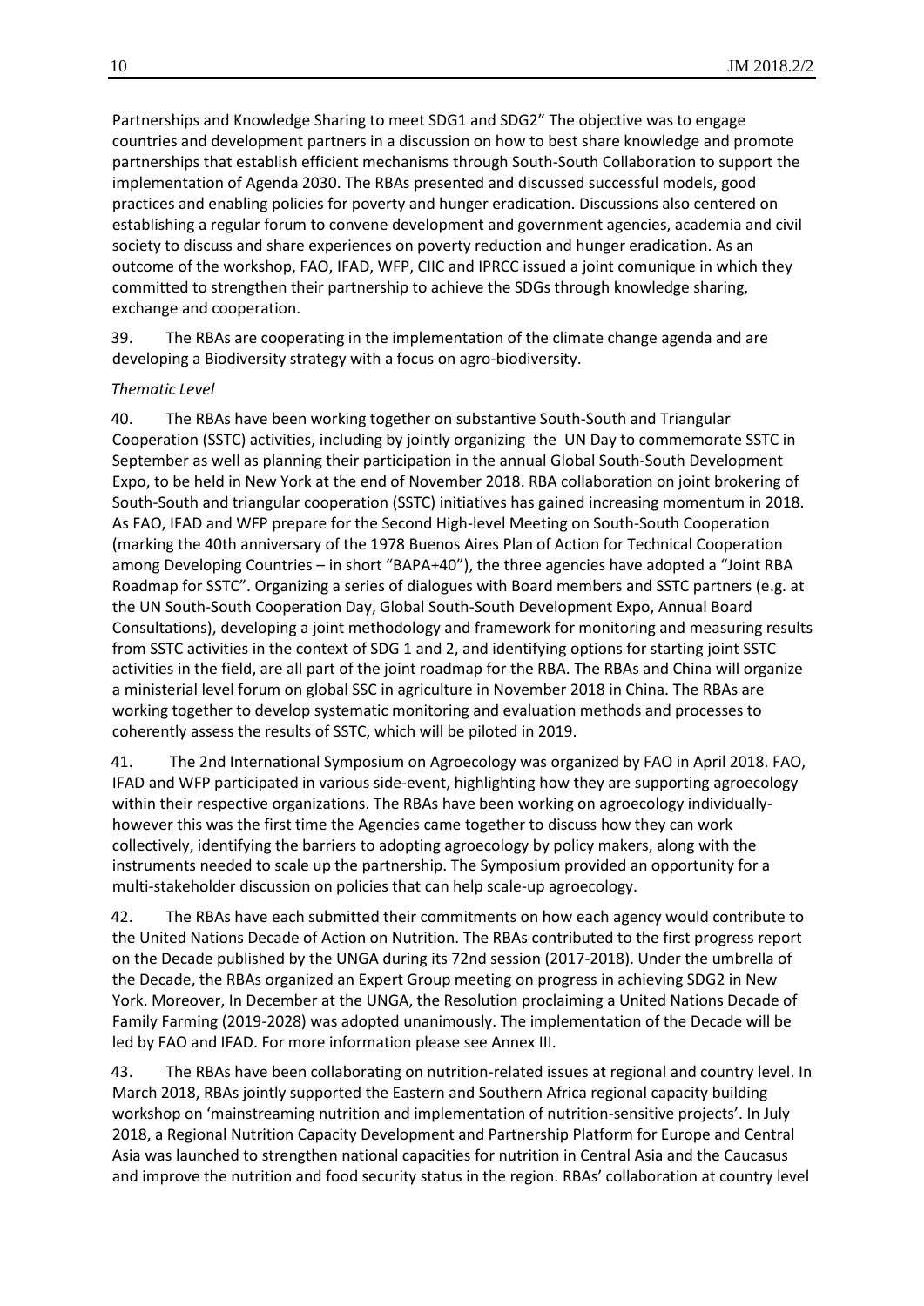Partnerships and Knowledge Sharing to meet SDG1 and SDG2" The objective was to engage countries and development partners in a discussion on how to best share knowledge and promote partnerships that establish efficient mechanisms through South-South Collaboration to support the implementation of Agenda 2030. The RBAs presented and discussed successful models, good practices and enabling policies for poverty and hunger eradication. Discussions also centered on establishing a regular forum to convene development and government agencies, academia and civil society to discuss and share experiences on poverty reduction and hunger eradication. As an outcome of the workshop, FAO, IFAD, WFP, CIIC and IPRCC issued a joint comunique in which they committed to strengthen their partnership to achieve the SDGs through knowledge sharing, exchange and cooperation.

39. The RBAs are cooperating in the implementation of the climate change agenda and are developing a Biodiversity strategy with a focus on agro-biodiversity.

#### *Thematic Level*

40. The RBAs have been working together on substantive South-South and Triangular Cooperation (SSTC) activities, including by jointly organizing the UN Day to commemorate SSTC in September as well as planning their participation in the annual Global South-South Development Expo, to be held in New York at the end of November 2018. RBA collaboration on joint brokering of South-South and triangular cooperation (SSTC) initiatives has gained increasing momentum in 2018. As FAO, IFAD and WFP prepare for the Second High-level Meeting on South-South Cooperation (marking the 40th anniversary of the 1978 Buenos Aires Plan of Action for Technical Cooperation among Developing Countries – in short "BAPA+40"), the three agencies have adopted a "Joint RBA Roadmap for SSTC". Organizing a series of dialogues with Board members and SSTC partners (e.g. at the UN South-South Cooperation Day, Global South-South Development Expo, Annual Board Consultations), developing a joint methodology and framework for monitoring and measuring results from SSTC activities in the context of SDG 1 and 2, and identifying options for starting joint SSTC activities in the field, are all part of the joint roadmap for the RBA. The RBAs and China will organize a ministerial level forum on global SSC in agriculture in November 2018 in China. The RBAs are working together to develop systematic monitoring and evaluation methods and processes to coherently assess the results of SSTC, which will be piloted in 2019.

41. The 2nd International Symposium on Agroecology was organized by FAO in April 2018. FAO, IFAD and WFP participated in various side-event, highlighting how they are supporting agroecology within their respective organizations. The RBAs have been working on agroecology individuallyhowever this was the first time the Agencies came together to discuss how they can work collectively, identifying the barriers to adopting agroecology by policy makers, along with the instruments needed to scale up the partnership. The Symposium provided an opportunity for a multi-stakeholder discussion on policies that can help scale-up agroecology.

42. The RBAs have each submitted their commitments on how each agency would contribute to the United Nations Decade of Action on Nutrition. The RBAs contributed to the first progress report on the Decade published by the UNGA during its 72nd session (2017-2018). Under the umbrella of the Decade, the RBAs organized an Expert Group meeting on progress in achieving SDG2 in New York. Moreover, In December at the UNGA, the Resolution proclaiming a United Nations Decade of Family Farming (2019-2028) was adopted unanimously. The implementation of the Decade will be led by FAO and IFAD. For more information please see Annex III.

43. The RBAs have been collaborating on nutrition-related issues at regional and country level. In March 2018, RBAs jointly supported the Eastern and Southern Africa regional capacity building workshop on 'mainstreaming nutrition and implementation of nutrition-sensitive projects'. In July 2018, a Regional Nutrition Capacity Development and Partnership Platform for Europe and Central Asia was launched to strengthen national capacities for nutrition in Central Asia and the Caucasus and improve the nutrition and food security status in the region. RBAs' collaboration at country level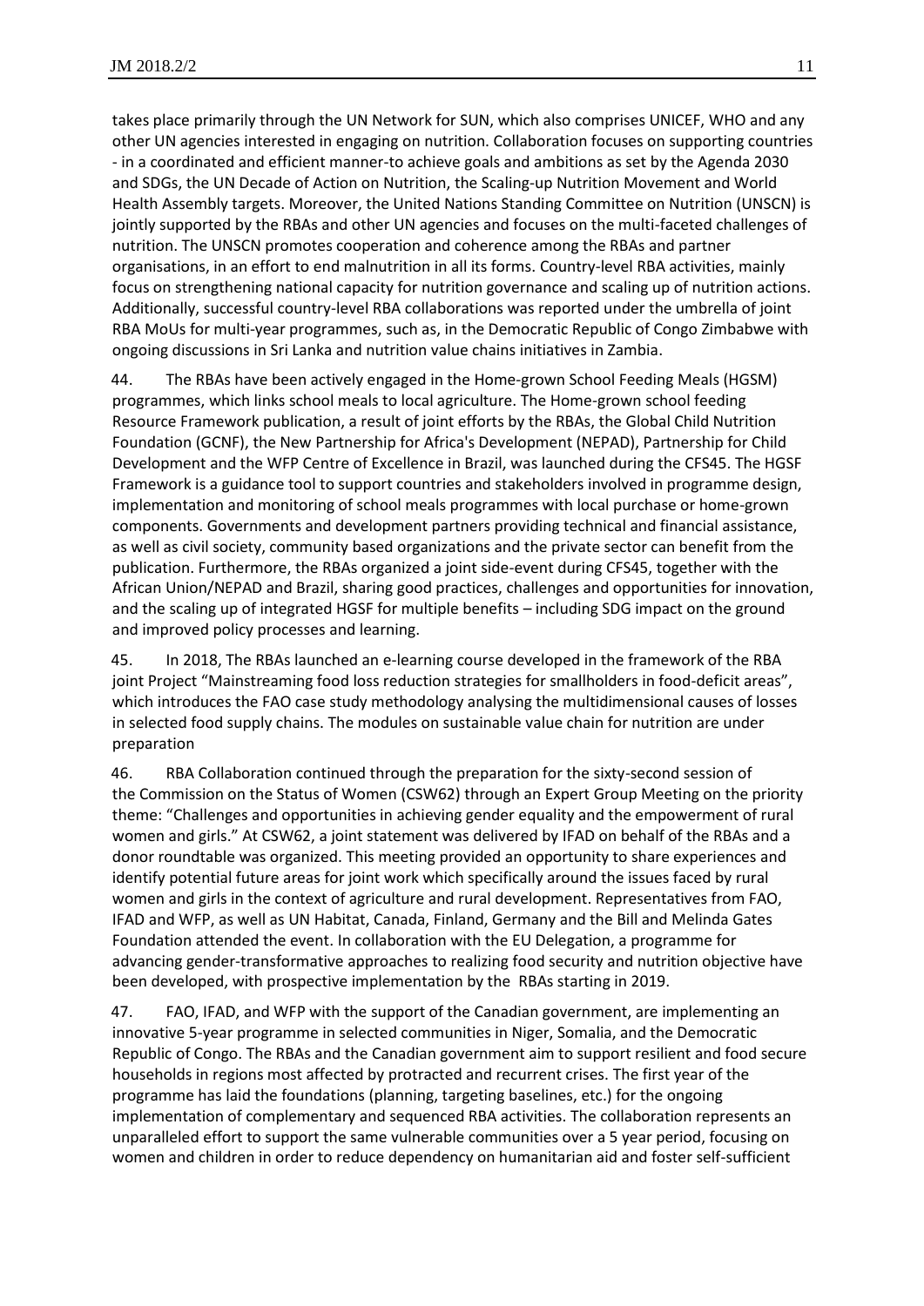takes place primarily through the UN Network for SUN, which also comprises UNICEF, WHO and any other UN agencies interested in engaging on nutrition. Collaboration focuses on supporting countries - in a coordinated and efficient manner-to achieve goals and ambitions as set by the Agenda 2030 and SDGs, the UN Decade of Action on Nutrition, the Scaling-up Nutrition Movement and World Health Assembly targets. Moreover, the United Nations Standing Committee on Nutrition (UNSCN) is jointly supported by the RBAs and other UN agencies and focuses on the multi-faceted challenges of nutrition. The UNSCN promotes cooperation and coherence among the RBAs and partner organisations, in an effort to end malnutrition in all its forms. Country-level RBA activities, mainly focus on strengthening national capacity for nutrition governance and scaling up of nutrition actions. Additionally, successful country-level RBA collaborations was reported under the umbrella of joint RBA MoUs for multi-year programmes, such as, in the Democratic Republic of Congo Zimbabwe with ongoing discussions in Sri Lanka and nutrition value chains initiatives in Zambia.

44. The RBAs have been actively engaged in the Home-grown School Feeding Meals (HGSM) programmes, which links school meals to local agriculture. The Home-grown school feeding Resource Framework publication, a result of joint efforts by the RBAs, the Global Child Nutrition Foundation (GCNF), the New Partnership for Africa's Development (NEPAD), Partnership for Child Development and the WFP Centre of Excellence in Brazil, was launched during the CFS45. The HGSF Framework is a guidance tool to support countries and stakeholders involved in programme design, implementation and monitoring of school meals programmes with local purchase or home-grown components. Governments and development partners providing technical and financial assistance, as well as civil society, community based organizations and the private sector can benefit from the publication. Furthermore, the RBAs organized a joint side-event during CFS45, together with the African Union/NEPAD and Brazil, sharing good practices, challenges and opportunities for innovation, and the scaling up of integrated HGSF for multiple benefits – including SDG impact on the ground and improved policy processes and learning.

45. In 2018, The RBAs launched an e-learning course developed in the framework of the RBA joint Project "Mainstreaming food loss reduction strategies for smallholders in food-deficit areas", which introduces the FAO case study methodology analysing the multidimensional causes of losses in selected food supply chains. The modules on sustainable value chain for nutrition are under preparation

46. RBA Collaboration continued through the preparation for the sixty-second session of the Commission on the Status of Women (CSW62) through an Expert Group Meeting on the priority theme: "Challenges and opportunities in achieving gender equality and the empowerment of rural women and girls." At CSW62, a joint statement was delivered by IFAD on behalf of the RBAs and a donor roundtable was organized. This meeting provided an opportunity to share experiences and identify potential future areas for joint work which specifically around the issues faced by rural women and girls in the context of agriculture and rural development. Representatives from FAO, IFAD and WFP, as well as UN Habitat, Canada, Finland, Germany and the Bill and Melinda Gates Foundation attended the event. In collaboration with the EU Delegation, a programme for advancing gender-transformative approaches to realizing food security and nutrition objective have been developed, with prospective implementation by the RBAs starting in 2019.

47. FAO, IFAD, and WFP with the support of the Canadian government, are implementing an innovative 5-year programme in selected communities in Niger, Somalia, and the Democratic Republic of Congo. The RBAs and the Canadian government aim to support resilient and food secure households in regions most affected by protracted and recurrent crises. The first year of the programme has laid the foundations (planning, targeting baselines, etc.) for the ongoing implementation of complementary and sequenced RBA activities. The collaboration represents an unparalleled effort to support the same vulnerable communities over a 5 year period, focusing on women and children in order to reduce dependency on humanitarian aid and foster self-sufficient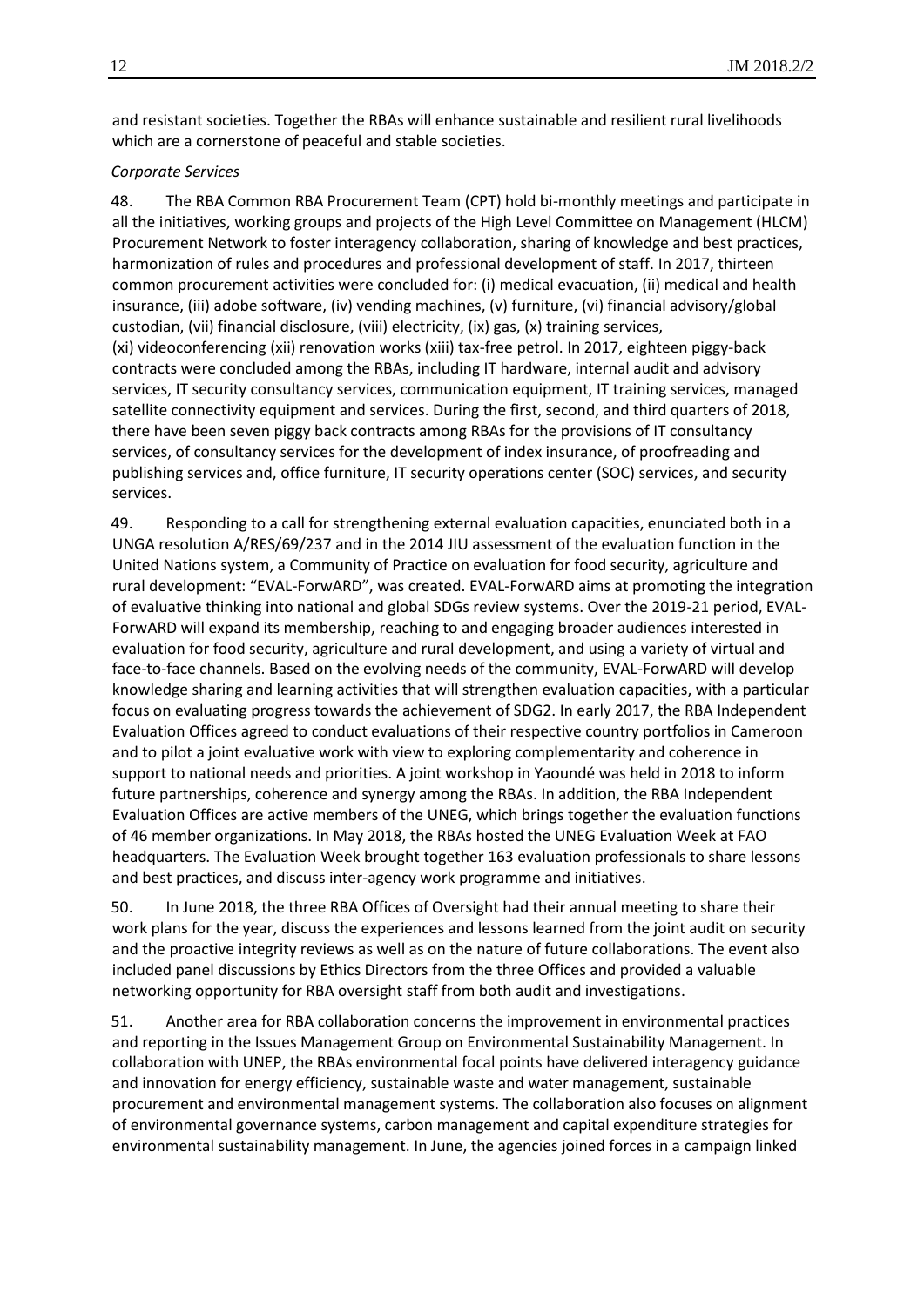and resistant societies. Together the RBAs will enhance sustainable and resilient rural livelihoods which are a cornerstone of peaceful and stable societies.

#### *Corporate Services*

48. The RBA Common RBA Procurement Team (CPT) hold bi-monthly meetings and participate in all the initiatives, working groups and projects of the High Level Committee on Management (HLCM) Procurement Network to foster interagency collaboration, sharing of knowledge and best practices, harmonization of rules and procedures and professional development of staff. In 2017, thirteen common procurement activities were concluded for: (i) medical evacuation, (ii) medical and health insurance, (iii) adobe software, (iv) vending machines, (v) furniture, (vi) financial advisory/global custodian, (vii) financial disclosure, (viii) electricity, (ix) gas, (x) training services, (xi) videoconferencing (xii) renovation works (xiii) tax-free petrol. In 2017, eighteen piggy-back contracts were concluded among the RBAs, including IT hardware, internal audit and advisory services, IT security consultancy services, communication equipment, IT training services, managed satellite connectivity equipment and services. During the first, second, and third quarters of 2018, there have been seven piggy back contracts among RBAs for the provisions of IT consultancy services, of consultancy services for the development of index insurance, of proofreading and publishing services and, office furniture, IT security operations center (SOC) services, and security services.

49. Responding to a call for strengthening external evaluation capacities, enunciated both in a UNGA resolution A/RES/69/237 and in the 2014 JIU assessment of the evaluation function in the United Nations system, a Community of Practice on evaluation for food security, agriculture and rural development: "EVAL-ForwARD", was created. EVAL-ForwARD aims at promoting the integration of evaluative thinking into national and global SDGs review systems. Over the 2019-21 period, EVAL-ForwARD will expand its membership, reaching to and engaging broader audiences interested in evaluation for food security, agriculture and rural development, and using a variety of virtual and face-to-face channels. Based on the evolving needs of the community, EVAL-ForwARD will develop knowledge sharing and learning activities that will strengthen evaluation capacities, with a particular focus on evaluating progress towards the achievement of SDG2. In early 2017, the RBA Independent Evaluation Offices agreed to conduct evaluations of their respective country portfolios in Cameroon and to pilot a joint evaluative work with view to exploring complementarity and coherence in support to national needs and priorities. A joint workshop in Yaoundé was held in 2018 to inform future partnerships, coherence and synergy among the RBAs. In addition, the RBA Independent Evaluation Offices are active members of the UNEG, which brings together the evaluation functions of 46 member organizations. In May 2018, the RBAs hosted the UNEG Evaluation Week at FAO headquarters. The Evaluation Week brought together 163 evaluation professionals to share lessons and best practices, and discuss inter-agency work programme and initiatives.

50. In June 2018, the three RBA Offices of Oversight had their annual meeting to share their work plans for the year, discuss the experiences and lessons learned from the joint audit on security and the proactive integrity reviews as well as on the nature of future collaborations. The event also included panel discussions by Ethics Directors from the three Offices and provided a valuable networking opportunity for RBA oversight staff from both audit and investigations.

51. Another area for RBA collaboration concerns the improvement in environmental practices and reporting in the Issues Management Group on Environmental Sustainability Management. In collaboration with UNEP, the RBAs environmental focal points have delivered interagency guidance and innovation for energy efficiency, sustainable waste and water management, sustainable procurement and environmental management systems. The collaboration also focuses on alignment of environmental governance systems, carbon management and capital expenditure strategies for environmental sustainability management. In June, the agencies joined forces in a [campaign](http://www.greeningtheblue.org/news/rome-based-agencies-unite-beat-plastic-pollution) linked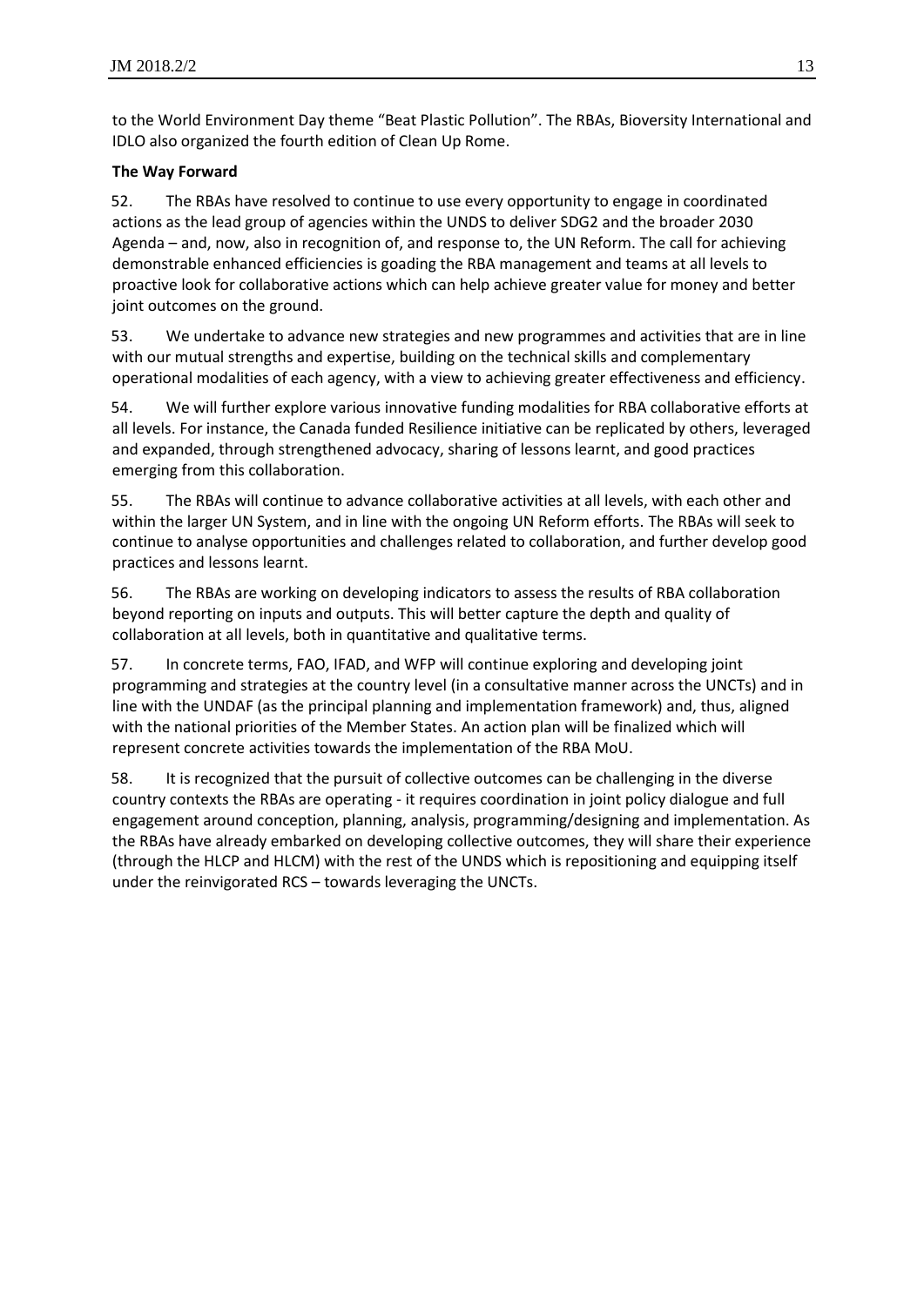to the World Environment Day theme "Beat Plastic Pollution". The RBAs, Bioversity International and IDLO also organized the fourth edition of Clean Up Rome.

# **The Way Forward**

52. The RBAs have resolved to continue to use every opportunity to engage in coordinated actions as the lead group of agencies within the UNDS to deliver SDG2 and the broader 2030 Agenda – and, now, also in recognition of, and response to, the UN Reform. The call for achieving demonstrable enhanced efficiencies is goading the RBA management and teams at all levels to proactive look for collaborative actions which can help achieve greater value for money and better joint outcomes on the ground.

53. We undertake to advance new strategies and new programmes and activities that are in line with our mutual strengths and expertise, building on the technical skills and complementary operational modalities of each agency, with a view to achieving greater effectiveness and efficiency.

54. We will further explore various innovative funding modalities for RBA collaborative efforts at all levels. For instance, the Canada funded Resilience initiative can be replicated by others, leveraged and expanded, through strengthened advocacy, sharing of lessons learnt, and good practices emerging from this collaboration.

55. The RBAs will continue to advance collaborative activities at all levels, with each other and within the larger UN System, and in line with the ongoing UN Reform efforts. The RBAs will seek to continue to analyse opportunities and challenges related to collaboration, and further develop good practices and lessons learnt.

56. The RBAs are working on developing indicators to assess the results of RBA collaboration beyond reporting on inputs and outputs. This will better capture the depth and quality of collaboration at all levels, both in quantitative and qualitative terms.

57. In concrete terms, FAO, IFAD, and WFP will continue exploring and developing joint programming and strategies at the country level (in a consultative manner across the UNCTs) and in line with the UNDAF (as the principal planning and implementation framework) and, thus, aligned with the national priorities of the Member States. An action plan will be finalized which will represent concrete activities towards the implementation of the RBA MoU.

58. It is recognized that the pursuit of collective outcomes can be challenging in the diverse country contexts the RBAs are operating - it requires coordination in joint policy dialogue and full engagement around conception, planning, analysis, programming/designing and implementation. As the RBAs have already embarked on developing collective outcomes, they will share their experience (through the HLCP and HLCM) with the rest of the UNDS which is repositioning and equipping itself under the reinvigorated RCS – towards leveraging the UNCTs.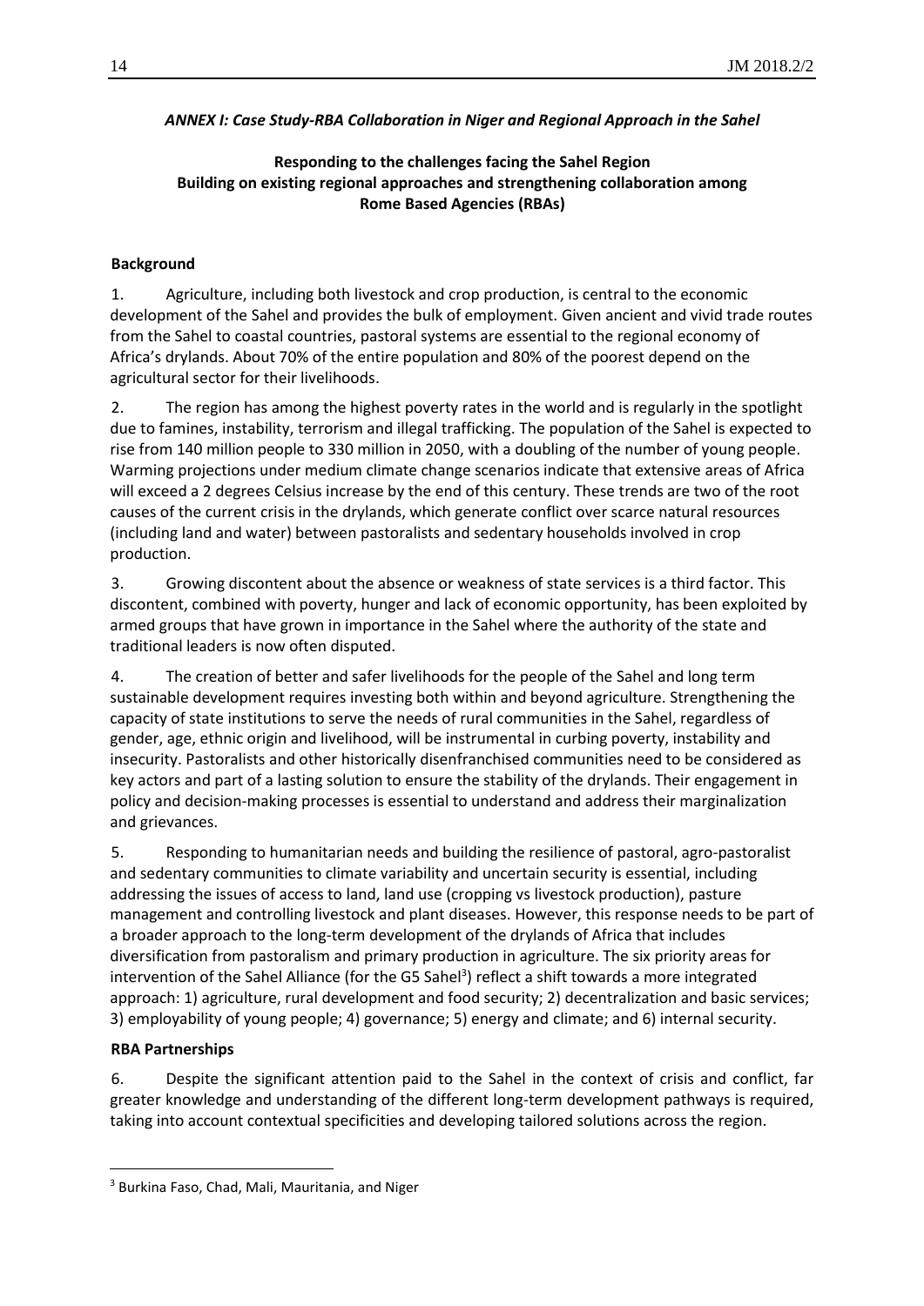#### *ANNEX I: Case Study-RBA Collaboration in Niger and Regional Approach in the Sahel*

### **Responding to the challenges facing the Sahel Region Building on existing regional approaches and strengthening collaboration among Rome Based Agencies (RBAs)**

#### **Background**

1. Agriculture, including both livestock and crop production, is central to the economic development of the Sahel and provides the bulk of employment. Given ancient and vivid trade routes from the Sahel to coastal countries, pastoral systems are essential to the regional economy of Africa's drylands. About 70% of the entire population and 80% of the poorest depend on the agricultural sector for their livelihoods.

2. The region has among the highest poverty rates in the world and is regularly in the spotlight due to famines, instability, terrorism and illegal trafficking. The population of the Sahel is expected to rise from 140 million people to 330 million in 2050, with a doubling of the number of young people. Warming projections under medium climate change scenarios indicate that extensive areas of Africa will exceed a 2 degrees Celsius increase by the end of this century. These trends are two of the root causes of the current crisis in the drylands, which generate conflict over scarce natural resources (including land and water) between pastoralists and sedentary households involved in crop production.

3. Growing discontent about the absence or weakness of state services is a third factor. This discontent, combined with poverty, hunger and lack of economic opportunity, has been exploited by armed groups that have grown in importance in the Sahel where the authority of the state and traditional leaders is now often disputed.

4. The creation of better and safer livelihoods for the people of the Sahel and long term sustainable development requires investing both within and beyond agriculture. Strengthening the capacity of state institutions to serve the needs of rural communities in the Sahel, regardless of gender, age, ethnic origin and livelihood, will be instrumental in curbing poverty, instability and insecurity. Pastoralists and other historically disenfranchised communities need to be considered as key actors and part of a lasting solution to ensure the stability of the drylands. Their engagement in policy and decision-making processes is essential to understand and address their marginalization and grievances.

5. Responding to humanitarian needs and building the resilience of pastoral, agro-pastoralist and sedentary communities to climate variability and uncertain security is essential, including addressing the issues of access to land, land use (cropping vs livestock production), pasture management and controlling livestock and plant diseases. However, this response needs to be part of a broader approach to the long-term development of the drylands of Africa that includes diversification from pastoralism and primary production in agriculture. The six priority areas for intervention of the Sahel Alliance (for the G5 Sahel<sup>3</sup>) reflect a shift towards a more integrated approach: 1) agriculture, rural development and food security; 2) decentralization and basic services; 3) employability of young people; 4) governance; 5) energy and climate; and 6) internal security.

#### **RBA Partnerships**

l

6. Despite the significant attention paid to the Sahel in the context of crisis and conflict, far greater knowledge and understanding of the different long-term development pathways is required, taking into account contextual specificities and developing tailored solutions across the region.

<sup>&</sup>lt;sup>3</sup> Burkina Faso, Chad, Mali, Mauritania, and Niger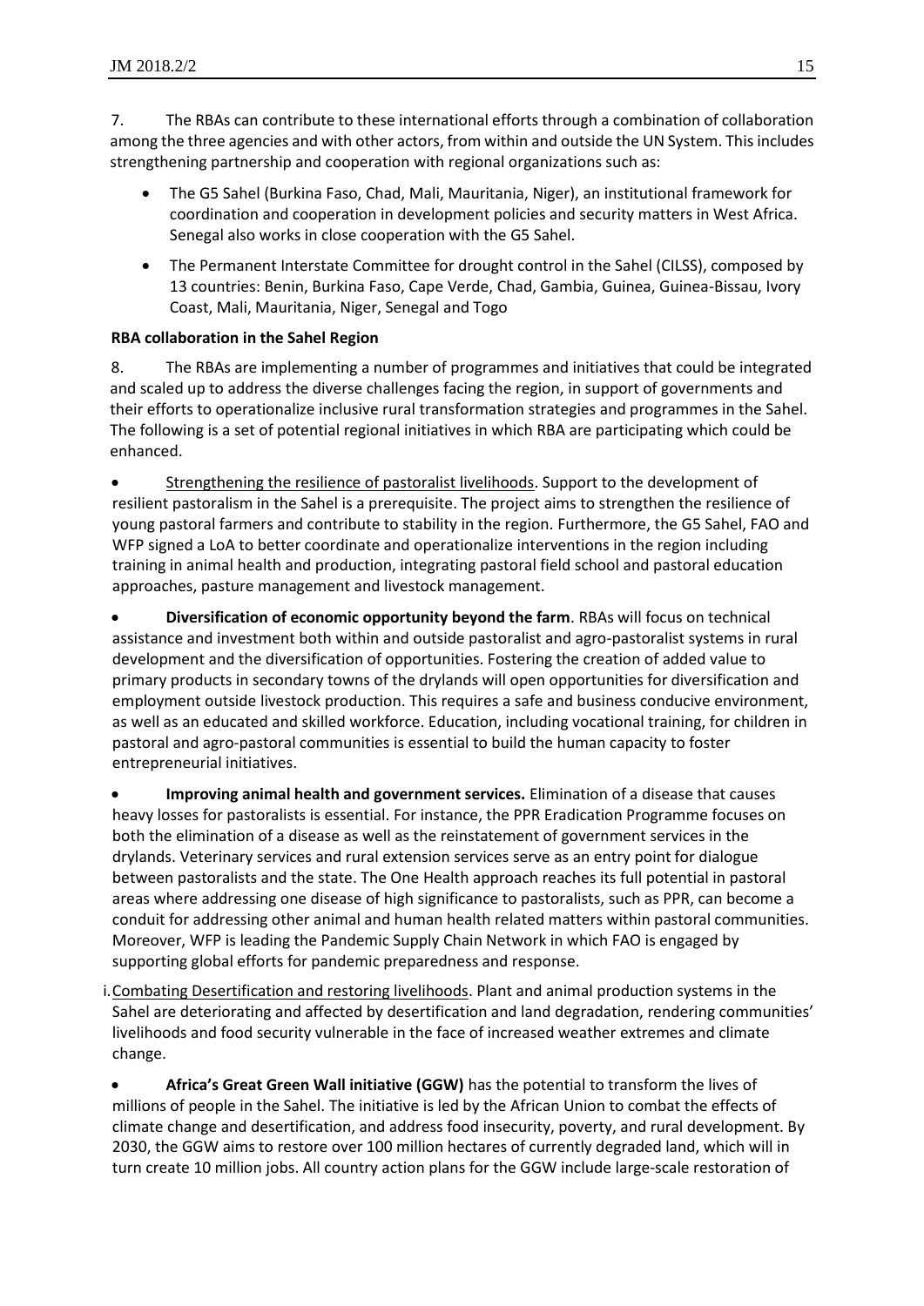7. The RBAs can contribute to these international efforts through a combination of collaboration among the three agencies and with other actors, from within and outside the UN System. This includes strengthening partnership and cooperation with regional organizations such as:

- The G5 Sahel (Burkina Faso, Chad, Mali, Mauritania, Niger), an institutional framework for coordination and cooperation in development policies and security matters in West Africa. Senegal also works in close cooperation with the G5 Sahel.
- The Permanent Interstate Committee for drought control in the Sahel (CILSS), composed by 13 countries: Benin, Burkina Faso, Cape Verde, Chad, Gambia, Guinea, Guinea-Bissau, Ivory Coast, Mali, Mauritania, Niger, Senegal and Togo

# **RBA collaboration in the Sahel Region**

8. The RBAs are implementing a number of programmes and initiatives that could be integrated and scaled up to address the diverse challenges facing the region, in support of governments and their efforts to operationalize inclusive rural transformation strategies and programmes in the Sahel. The following is a set of potential regional initiatives in which RBA are participating which could be enhanced.

 Strengthening the resilience of pastoralist livelihoods. Support to the development of resilient pastoralism in the Sahel is a prerequisite. The project aims to strengthen the resilience of young pastoral farmers and contribute to stability in the region. Furthermore, the G5 Sahel, FAO and WFP signed a LoA to better coordinate and operationalize interventions in the region including training in animal health and production, integrating pastoral field school and pastoral education approaches, pasture management and livestock management.

 **Diversification of economic opportunity beyond the farm**. RBAs will focus on technical assistance and investment both within and outside pastoralist and agro-pastoralist systems in rural development and the diversification of opportunities. Fostering the creation of added value to primary products in secondary towns of the drylands will open opportunities for diversification and employment outside livestock production. This requires a safe and business conducive environment, as well as an educated and skilled workforce. Education, including vocational training, for children in pastoral and agro-pastoral communities is essential to build the human capacity to foster entrepreneurial initiatives.

 **Improving animal health and government services.** Elimination of a disease that causes heavy losses for pastoralists is essential. For instance, the PPR Eradication Programme focuses on both the elimination of a disease as well as the reinstatement of government services in the drylands. Veterinary services and rural extension services serve as an entry point for dialogue between pastoralists and the state. The One Health approach reaches its full potential in pastoral areas where addressing one disease of high significance to pastoralists, such as PPR, can become a conduit for addressing other animal and human health related matters within pastoral communities. Moreover, WFP is leading the Pandemic Supply Chain Network in which FAO is engaged by supporting global efforts for pandemic preparedness and response.

i.Combating Desertification and restoring livelihoods. Plant and animal production systems in the Sahel are deteriorating and affected by desertification and land degradation, rendering communities' livelihoods and food security vulnerable in the face of increased weather extremes and climate change.

 **Africa's Great Green Wall initiative (GGW)** has the potential to transform the lives of millions of people in the Sahel. The initiative is led by the African Union to combat the effects of climate change and desertification, and address food insecurity, poverty, and rural development. By 2030, the GGW aims to restore over 100 million hectares of currently degraded land, which will in turn create 10 million jobs. All country action plans for the GGW include large-scale restoration of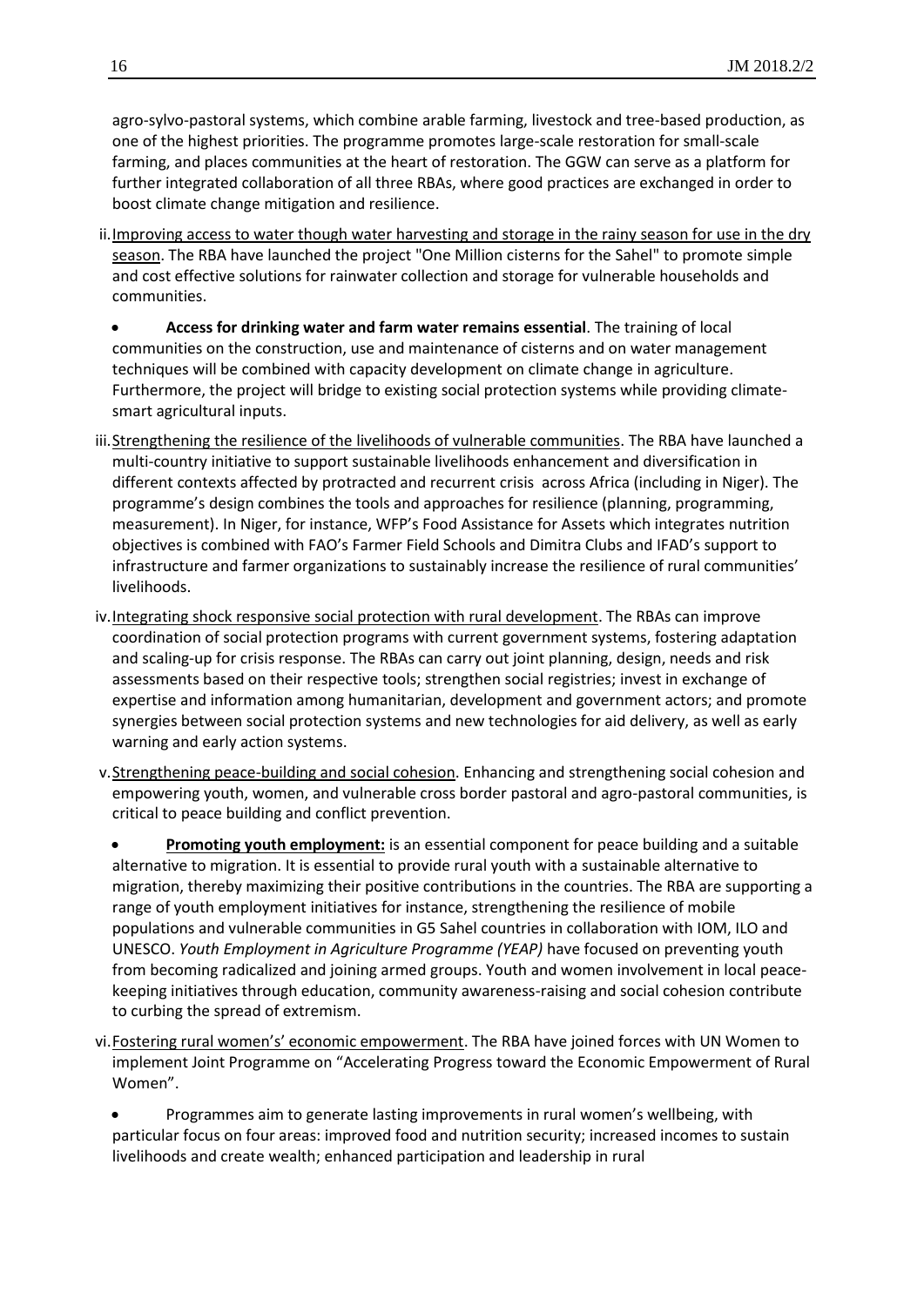agro-sylvo-pastoral systems, which combine arable farming, livestock and tree-based production, as one of the highest priorities. The programme promotes large-scale restoration for small-scale farming, and places communities at the heart of restoration. The GGW can serve as a platform for further integrated collaboration of all three RBAs, where good practices are exchanged in order to boost climate change mitigation and resilience.

- ii. Improving access to water though water harvesting and storage in the rainy season for use in the dry season. The RBA have launched the project "One Million cisterns for the Sahel" to promote simple and cost effective solutions for rainwater collection and storage for vulnerable households and communities.
	- **Access for drinking water and farm water remains essential**. The training of local communities on the construction, use and maintenance of cisterns and on water management techniques will be combined with capacity development on climate change in agriculture. Furthermore, the project will bridge to existing social protection systems while providing climatesmart agricultural inputs.
- iii. Strengthening the resilience of the livelihoods of vulnerable communities. The RBA have launched a multi-country initiative to support sustainable livelihoods enhancement and diversification in different contexts affected by protracted and recurrent crisis across Africa (including in Niger). The programme's design combines the tools and approaches for resilience (planning, programming, measurement). In Niger, for instance, WFP's Food Assistance for Assets which integrates nutrition objectives is combined with FAO's Farmer Field Schools and Dimitra Clubs and IFAD's support to infrastructure and farmer organizations to sustainably increase the resilience of rural communities' livelihoods.
- iv.Integrating shock responsive social protection with rural development. The RBAs can improve coordination of social protection programs with current government systems, fostering adaptation and scaling-up for crisis response. The RBAs can carry out joint planning, design, needs and risk assessments based on their respective tools; strengthen social registries; invest in exchange of expertise and information among humanitarian, development and government actors; and promote synergies between social protection systems and new technologies for aid delivery, as well as early warning and early action systems.
- v.Strengthening peace-building and social cohesion. Enhancing and strengthening social cohesion and empowering youth, women, and vulnerable cross border pastoral and agro-pastoral communities, is critical to peace building and conflict prevention.
- **Promoting youth employment:** is an essential component for peace building and a suitable alternative to migration. It is essential to provide rural youth with a sustainable alternative to migration, thereby maximizing their positive contributions in the countries. The RBA are supporting a range of youth employment initiatives for instance, strengthening the resilience of mobile populations and vulnerable communities in G5 Sahel countries in collaboration with IOM, ILO and UNESCO. *Youth Employment in Agriculture Programme (YEAP)* have focused on preventing youth from becoming radicalized and joining armed groups. Youth and women involvement in local peacekeeping initiatives through education, community awareness-raising and social cohesion contribute to curbing the spread of extremism.
- vi. Fostering rural women's' economic empowerment. The RBA have joined forces with UN Women to implement Joint Programme on "Accelerating Progress toward the Economic Empowerment of Rural Women".
	- Programmes aim to generate lasting improvements in rural women's wellbeing, with particular focus on four areas: improved food and nutrition security; increased incomes to sustain livelihoods and create wealth; enhanced participation and leadership in rural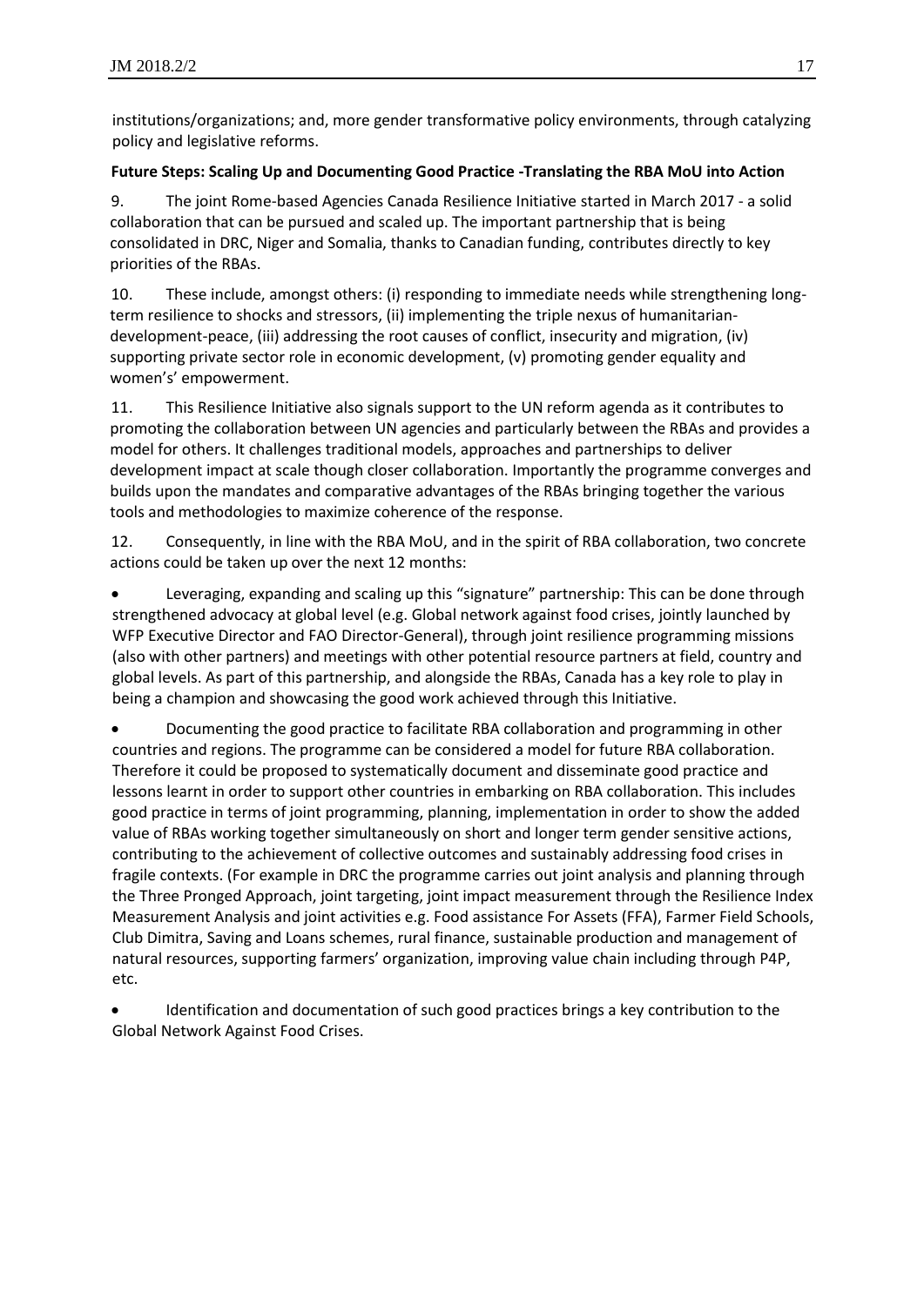institutions/organizations; and, more gender transformative policy environments, through catalyzing policy and legislative reforms.

#### **Future Steps: Scaling Up and Documenting Good Practice -Translating the RBA MoU into Action**

9. The joint Rome-based Agencies Canada Resilience Initiative started in March 2017 - a solid collaboration that can be pursued and scaled up. The important partnership that is being consolidated in DRC, Niger and Somalia, thanks to Canadian funding, contributes directly to key priorities of the RBAs.

10. These include, amongst others: (i) responding to immediate needs while strengthening longterm resilience to shocks and stressors, (ii) implementing the triple nexus of humanitariandevelopment-peace, (iii) addressing the root causes of conflict, insecurity and migration, (iv) supporting private sector role in economic development, (v) promoting gender equality and women's' empowerment.

11. This Resilience Initiative also signals support to the UN reform agenda as it contributes to promoting the collaboration between UN agencies and particularly between the RBAs and provides a model for others. It challenges traditional models, approaches and partnerships to deliver development impact at scale though closer collaboration. Importantly the programme converges and builds upon the mandates and comparative advantages of the RBAs bringing together the various tools and methodologies to maximize coherence of the response.

12. Consequently, in line with the RBA MoU, and in the spirit of RBA collaboration, two concrete actions could be taken up over the next 12 months:

 Leveraging, expanding and scaling up this "signature" partnership: This can be done through strengthened advocacy at global level (e.g. Global network against food crises, jointly launched by WFP Executive Director and FAO Director-General), through joint resilience programming missions (also with other partners) and meetings with other potential resource partners at field, country and global levels. As part of this partnership, and alongside the RBAs, Canada has a key role to play in being a champion and showcasing the good work achieved through this Initiative.

 Documenting the good practice to facilitate RBA collaboration and programming in other countries and regions. The programme can be considered a model for future RBA collaboration. Therefore it could be proposed to systematically document and disseminate good practice and lessons learnt in order to support other countries in embarking on RBA collaboration. This includes good practice in terms of joint programming, planning, implementation in order to show the added value of RBAs working together simultaneously on short and longer term gender sensitive actions, contributing to the achievement of collective outcomes and sustainably addressing food crises in fragile contexts. (For example in DRC the programme carries out joint analysis and planning through the Three Pronged Approach, joint targeting, joint impact measurement through the Resilience Index Measurement Analysis and joint activities e.g. Food assistance For Assets (FFA), Farmer Field Schools, Club Dimitra, Saving and Loans schemes, rural finance, sustainable production and management of natural resources, supporting farmers' organization, improving value chain including through P4P, etc.

 Identification and documentation of such good practices brings a key contribution to the Global Network Against Food Crises.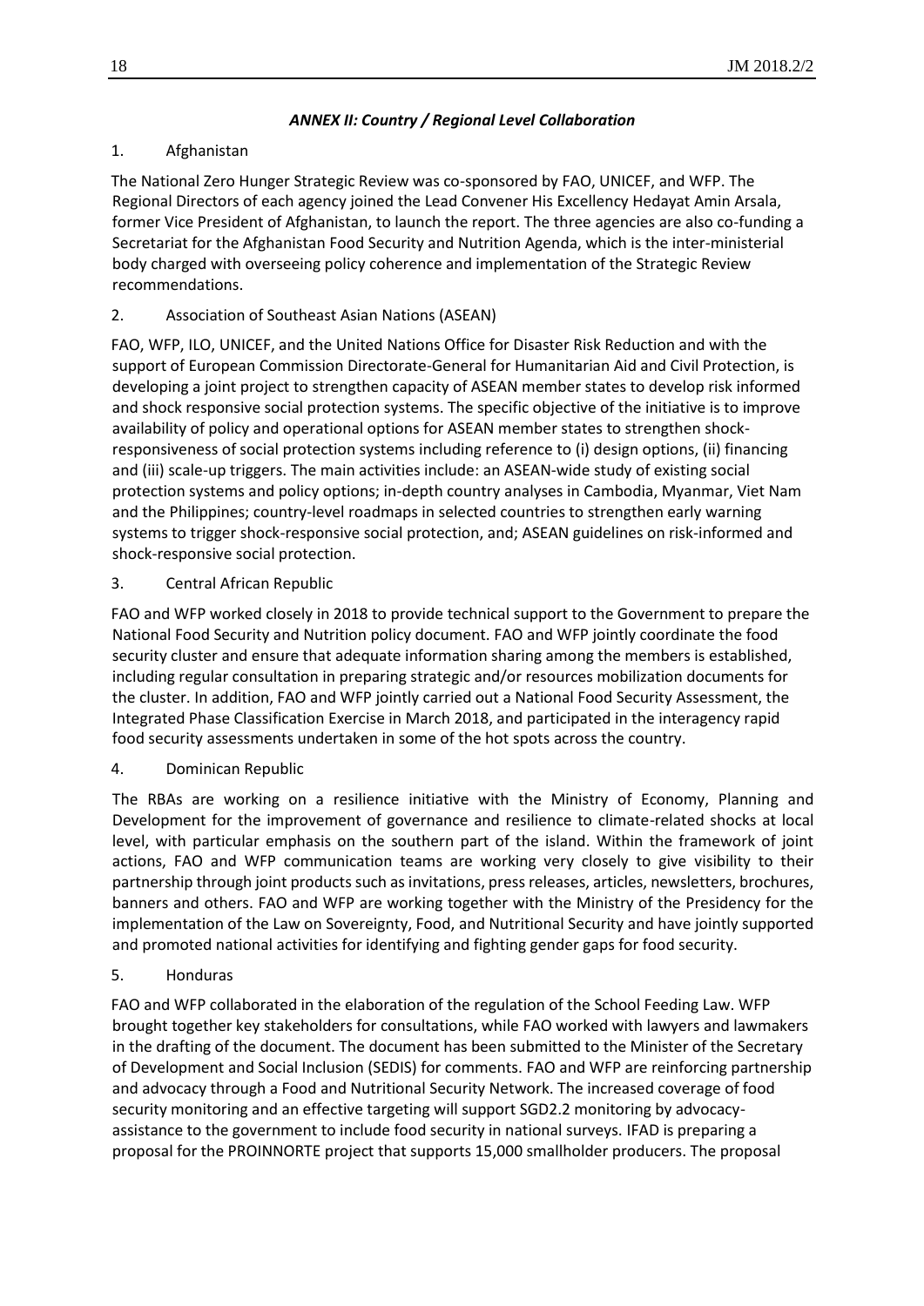# *ANNEX II: Country / Regional Level Collaboration*

# 1. Afghanistan

The National Zero Hunger Strategic Review was co-sponsored by FAO, UNICEF, and WFP. The Regional Directors of each agency joined the Lead Convener His Excellency Hedayat Amin Arsala, former Vice President of Afghanistan, to launch the report. The three agencies are also co-funding a Secretariat for the Afghanistan Food Security and Nutrition Agenda, which is the inter-ministerial body charged with overseeing policy coherence and implementation of the Strategic Review recommendations.

# 2. Association of Southeast Asian Nations (ASEAN)

FAO, WFP, ILO, UNICEF, and the United Nations Office for Disaster Risk Reduction and with the support of European Commission Directorate-General for Humanitarian Aid and Civil Protection, is developing a joint project to strengthen capacity of ASEAN member states to develop risk informed and shock responsive social protection systems. The specific objective of the initiative is to improve availability of policy and operational options for ASEAN member states to strengthen shockresponsiveness of social protection systems including reference to (i) design options, (ii) financing and (iii) scale-up triggers. The main activities include: an ASEAN-wide study of existing social protection systems and policy options; in-depth country analyses in Cambodia, Myanmar, Viet Nam and the Philippines; country-level roadmaps in selected countries to strengthen early warning systems to trigger shock-responsive social protection, and; ASEAN guidelines on risk-informed and shock-responsive social protection.

# 3. Central African Republic

FAO and WFP worked closely in 2018 to provide technical support to the Government to prepare the National Food Security and Nutrition policy document. FAO and WFP jointly coordinate the food security cluster and ensure that adequate information sharing among the members is established, including regular consultation in preparing strategic and/or resources mobilization documents for the cluster. In addition, FAO and WFP jointly carried out a National Food Security Assessment, the Integrated Phase Classification Exercise in March 2018, and participated in the interagency rapid food security assessments undertaken in some of the hot spots across the country.

# 4. Dominican Republic

The RBAs are working on a resilience initiative with the Ministry of Economy, Planning and Development for the improvement of governance and resilience to climate-related shocks at local level, with particular emphasis on the southern part of the island. Within the framework of joint actions, FAO and WFP communication teams are working very closely to give visibility to their partnership through joint products such as invitations, press releases, articles, newsletters, brochures, banners and others. FAO and WFP are working together with the Ministry of the Presidency for the implementation of the Law on Sovereignty, Food, and Nutritional Security and have jointly supported and promoted national activities for identifying and fighting gender gaps for food security.

# 5. Honduras

FAO and WFP collaborated in the elaboration of the regulation of the School Feeding Law. WFP brought together key stakeholders for consultations, while FAO worked with lawyers and lawmakers in the drafting of the document. The document has been submitted to the Minister of the Secretary of Development and Social Inclusion (SEDIS) for comments. FAO and WFP are reinforcing partnership and advocacy through a Food and Nutritional Security Network. The increased coverage of food security monitoring and an effective targeting will support SGD2.2 monitoring by advocacyassistance to the government to include food security in national surveys. IFAD is preparing a proposal for the PROINNORTE project that supports 15,000 smallholder producers. The proposal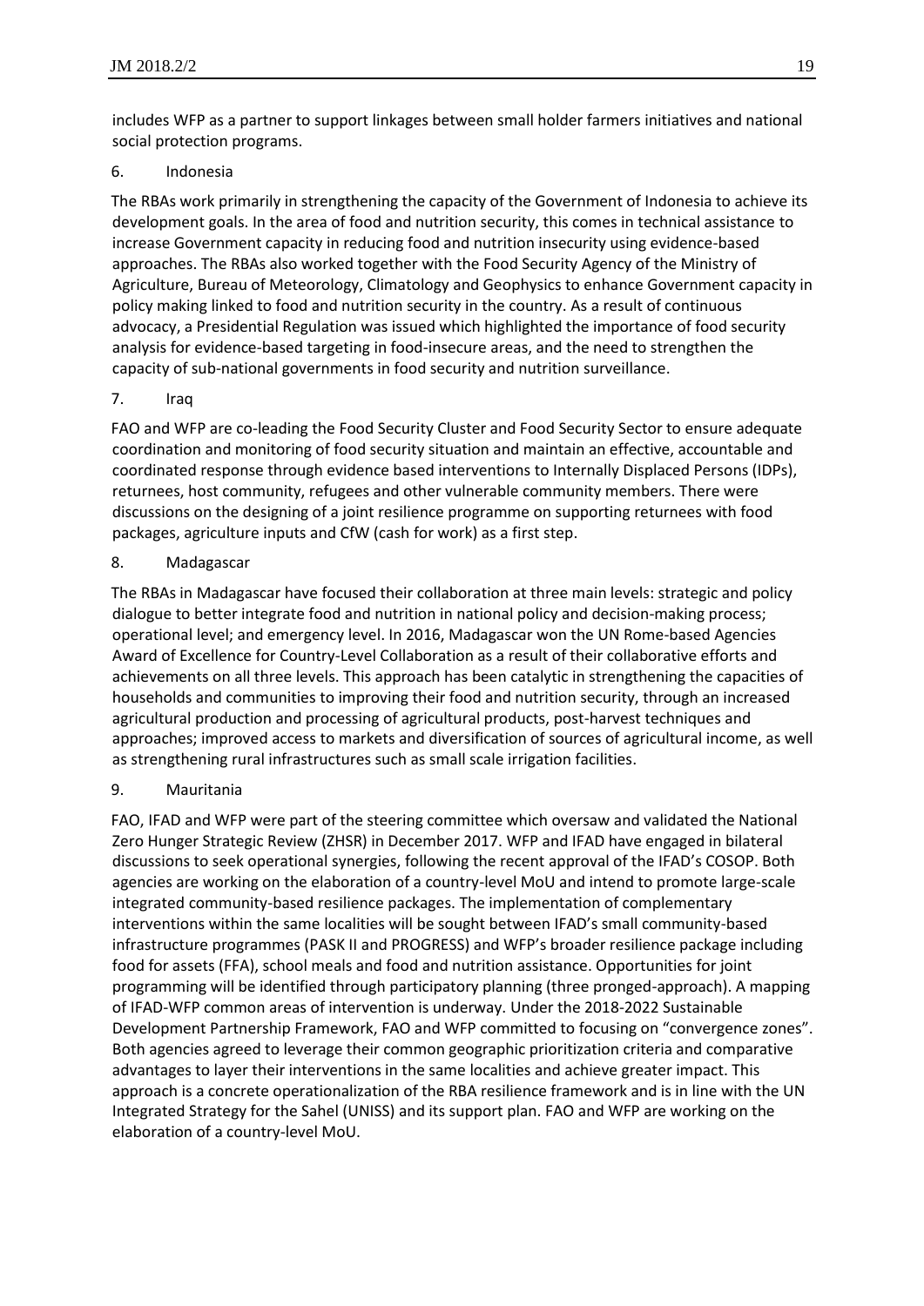includes WFP as a partner to support linkages between small holder farmers initiatives and national social protection programs.

#### 6. Indonesia

The RBAs work primarily in strengthening the capacity of the Government of Indonesia to achieve its development goals. In the area of food and nutrition security, this comes in technical assistance to increase Government capacity in reducing food and nutrition insecurity using evidence-based approaches. The RBAs also worked together with the Food Security Agency of the Ministry of Agriculture, Bureau of Meteorology, Climatology and Geophysics to enhance Government capacity in policy making linked to food and nutrition security in the country. As a result of continuous advocacy, a Presidential Regulation was issued which highlighted the importance of food security analysis for evidence-based targeting in food-insecure areas, and the need to strengthen the capacity of sub-national governments in food security and nutrition surveillance.

#### 7. Iraq

FAO and WFP are co-leading the Food Security Cluster and Food Security Sector to ensure adequate coordination and monitoring of food security situation and maintain an effective, accountable and coordinated response through evidence based interventions to Internally Displaced Persons (IDPs), returnees, host community, refugees and other vulnerable community members. There were discussions on the designing of a joint resilience programme on supporting returnees with food packages, agriculture inputs and CfW (cash for work) as a first step.

#### 8. Madagascar

The RBAs in Madagascar have focused their collaboration at three main levels: strategic and policy dialogue to better integrate food and nutrition in national policy and decision-making process; operational level; and emergency level. In 2016, Madagascar won the UN Rome-based Agencies Award of Excellence for Country-Level Collaboration as a result of their collaborative efforts and achievements on all three levels. This approach has been catalytic in strengthening the capacities of households and communities to improving their food and nutrition security, through an increased agricultural production and processing of agricultural products, post-harvest techniques and approaches; improved access to markets and diversification of sources of agricultural income, as well as strengthening rural infrastructures such as small scale irrigation facilities.

### 9. Mauritania

FAO, IFAD and WFP were part of the steering committee which oversaw and validated the National Zero Hunger Strategic Review (ZHSR) in December 2017. WFP and IFAD have engaged in bilateral discussions to seek operational synergies, following the recent approval of the IFAD's COSOP. Both agencies are working on the elaboration of a country-level MoU and intend to promote large-scale integrated community-based resilience packages. The implementation of complementary interventions within the same localities will be sought between IFAD's small community-based infrastructure programmes (PASK II and PROGRESS) and WFP's broader resilience package including food for assets (FFA), school meals and food and nutrition assistance. Opportunities for joint programming will be identified through participatory planning (three pronged-approach). A mapping of IFAD-WFP common areas of intervention is underway. Under the 2018-2022 Sustainable Development Partnership Framework, FAO and WFP committed to focusing on "convergence zones". Both agencies agreed to leverage their common geographic prioritization criteria and comparative advantages to layer their interventions in the same localities and achieve greater impact. This approach is a concrete operationalization of the RBA resilience framework and is in line with the UN Integrated Strategy for the Sahel (UNISS) and its support plan. FAO and WFP are working on the elaboration of a country-level MoU.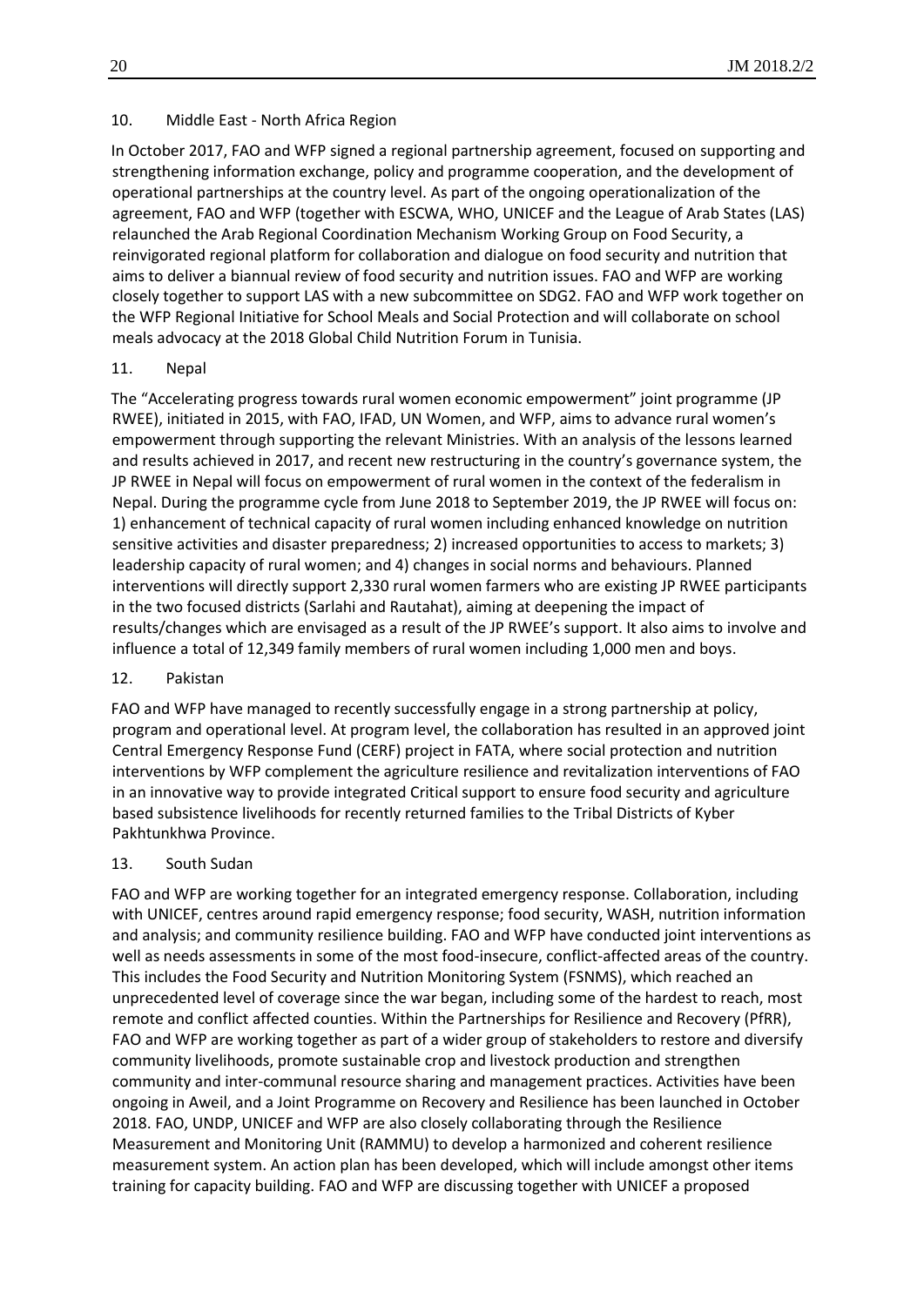#### 10. Middle East - North Africa Region

In October 2017, FAO and WFP signed a regional partnership agreement, focused on supporting and strengthening information exchange, policy and programme cooperation, and the development of operational partnerships at the country level. As part of the ongoing operationalization of the agreement, FAO and WFP (together with ESCWA, WHO, UNICEF and the League of Arab States (LAS) relaunched the Arab Regional Coordination Mechanism Working Group on Food Security, a reinvigorated regional platform for collaboration and dialogue on food security and nutrition that aims to deliver a biannual review of food security and nutrition issues. FAO and WFP are working closely together to support LAS with a new subcommittee on SDG2. FAO and WFP work together on the WFP Regional Initiative for School Meals and Social Protection and will collaborate on school meals advocacy at the 2018 Global Child Nutrition Forum in Tunisia.

#### 11. Nepal

The "Accelerating progress towards rural women economic empowerment" joint programme (JP RWEE), initiated in 2015, with FAO, IFAD, UN Women, and WFP, aims to advance rural women's empowerment through supporting the relevant Ministries. With an analysis of the lessons learned and results achieved in 2017, and recent new restructuring in the country's governance system, the JP RWEE in Nepal will focus on empowerment of rural women in the context of the federalism in Nepal. During the programme cycle from June 2018 to September 2019, the JP RWEE will focus on: 1) enhancement of technical capacity of rural women including enhanced knowledge on nutrition sensitive activities and disaster preparedness; 2) increased opportunities to access to markets; 3) leadership capacity of rural women; and 4) changes in social norms and behaviours. Planned interventions will directly support 2,330 rural women farmers who are existing JP RWEE participants in the two focused districts (Sarlahi and Rautahat), aiming at deepening the impact of results/changes which are envisaged as a result of the JP RWEE's support. It also aims to involve and influence a total of 12,349 family members of rural women including 1,000 men and boys.

#### 12. Pakistan

FAO and WFP have managed to recently successfully engage in a strong partnership at policy, program and operational level. At program level, the collaboration has resulted in an approved joint Central Emergency Response Fund (CERF) project in FATA, where social protection and nutrition interventions by WFP complement the agriculture resilience and revitalization interventions of FAO in an innovative way to provide integrated Critical support to ensure food security and agriculture based subsistence livelihoods for recently returned families to the Tribal Districts of Kyber Pakhtunkhwa Province.

#### 13. South Sudan

FAO and WFP are working together for an integrated emergency response. Collaboration, including with UNICEF, centres around rapid emergency response; food security, WASH, nutrition information and analysis; and community resilience building. FAO and WFP have conducted joint interventions as well as needs assessments in some of the most food-insecure, conflict-affected areas of the country. This includes the Food Security and Nutrition Monitoring System (FSNMS), which reached an unprecedented level of coverage since the war began, including some of the hardest to reach, most remote and conflict affected counties. Within the Partnerships for Resilience and Recovery (PfRR), FAO and WFP are working together as part of a wider group of stakeholders to restore and diversify community livelihoods, promote sustainable crop and livestock production and strengthen community and inter-communal resource sharing and management practices. Activities have been ongoing in Aweil, and a Joint Programme on Recovery and Resilience has been launched in October 2018. FAO, UNDP, UNICEF and WFP are also closely collaborating through the Resilience Measurement and Monitoring Unit (RAMMU) to develop a harmonized and coherent resilience measurement system. An action plan has been developed, which will include amongst other items training for capacity building. FAO and WFP are discussing together with UNICEF a proposed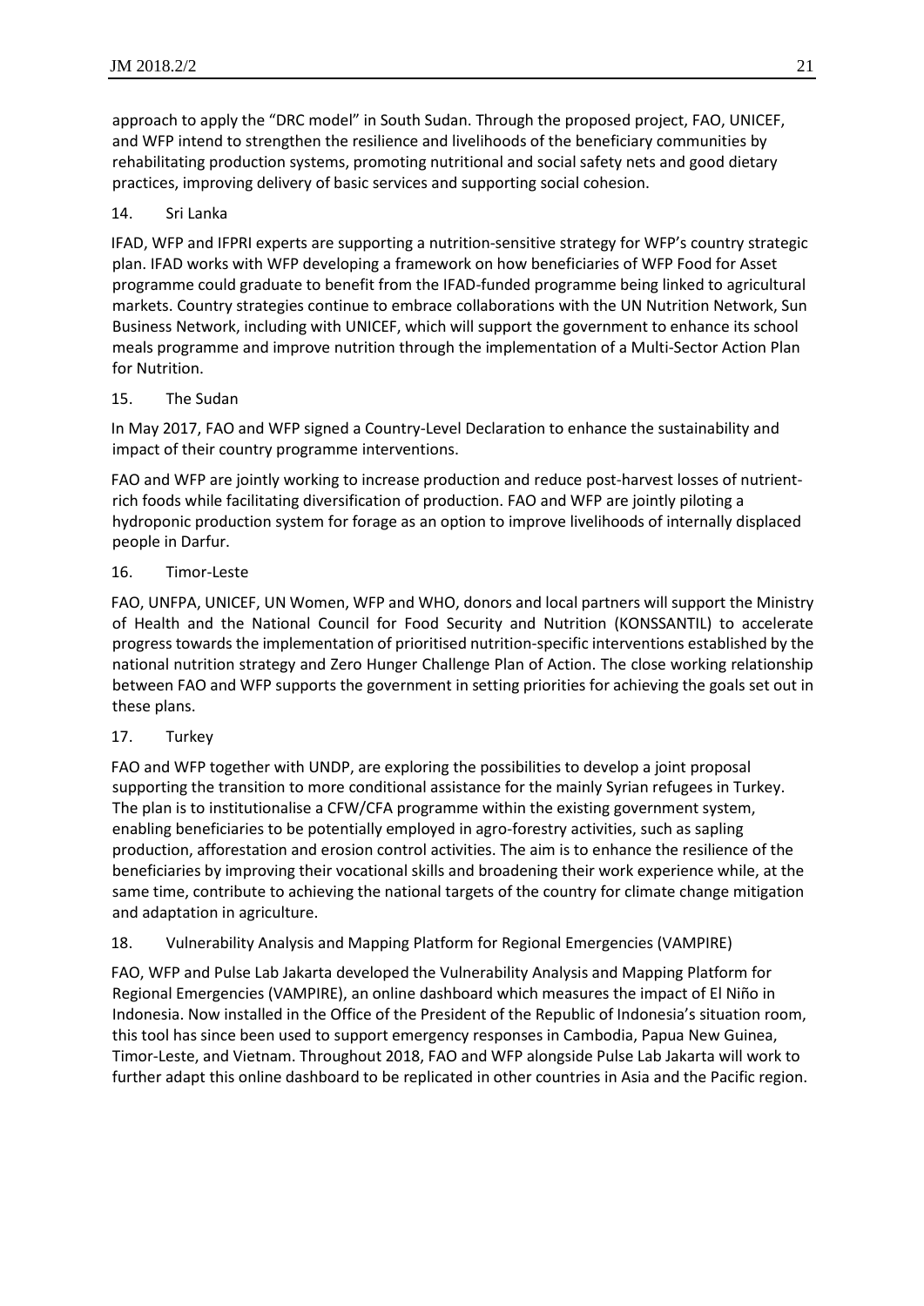approach to apply the "DRC model" in South Sudan. Through the proposed project, FAO, UNICEF, and WFP intend to strengthen the resilience and livelihoods of the beneficiary communities by rehabilitating production systems, promoting nutritional and social safety nets and good dietary practices, improving delivery of basic services and supporting social cohesion.

# 14. Sri Lanka

IFAD, WFP and IFPRI experts are supporting a nutrition-sensitive strategy for WFP's country strategic plan. IFAD works with WFP developing a framework on how beneficiaries of WFP Food for Asset programme could graduate to benefit from the IFAD-funded programme being linked to agricultural markets. Country strategies continue to embrace collaborations with the UN Nutrition Network, Sun Business Network, including with UNICEF, which will support the government to enhance its school meals programme and improve nutrition through the implementation of a Multi-Sector Action Plan for Nutrition.

### 15. The Sudan

In May 2017, FAO and WFP signed a Country-Level Declaration to enhance the sustainability and impact of their country programme interventions.

FAO and WFP are jointly working to increase production and reduce post-harvest losses of nutrientrich foods while facilitating diversification of production. FAO and WFP are jointly piloting a hydroponic production system for forage as an option to improve livelihoods of internally displaced people in Darfur.

#### 16. Timor-Leste

FAO, UNFPA, UNICEF, UN Women, WFP and WHO, donors and local partners will support the Ministry of Health and the National Council for Food Security and Nutrition (KONSSANTIL) to accelerate progress towards the implementation of prioritised nutrition-specific interventions established by the national nutrition strategy and Zero Hunger Challenge Plan of Action. The close working relationship between FAO and WFP supports the government in setting priorities for achieving the goals set out in these plans.

### 17. Turkey

FAO and WFP together with UNDP, are exploring the possibilities to develop a joint proposal supporting the transition to more conditional assistance for the mainly Syrian refugees in Turkey. The plan is to institutionalise a CFW/CFA programme within the existing government system, enabling beneficiaries to be potentially employed in agro-forestry activities, such as sapling production, afforestation and erosion control activities. The aim is to enhance the resilience of the beneficiaries by improving their vocational skills and broadening their work experience while, at the same time, contribute to achieving the national targets of the country for climate change mitigation and adaptation in agriculture.

### 18. Vulnerability Analysis and Mapping Platform for Regional Emergencies (VAMPIRE)

FAO, WFP and Pulse Lab Jakarta developed the Vulnerability Analysis and Mapping Platform for Regional Emergencies (VAMPIRE), an online dashboard which measures the impact of El Niño in Indonesia. Now installed in the Office of the President of the Republic of Indonesia's situation room, this tool has since been used to support emergency responses in Cambodia, Papua New Guinea, Timor-Leste, and Vietnam. Throughout 2018, FAO and WFP alongside Pulse Lab Jakarta will work to further adapt this online dashboard to be replicated in other countries in Asia and the Pacific region.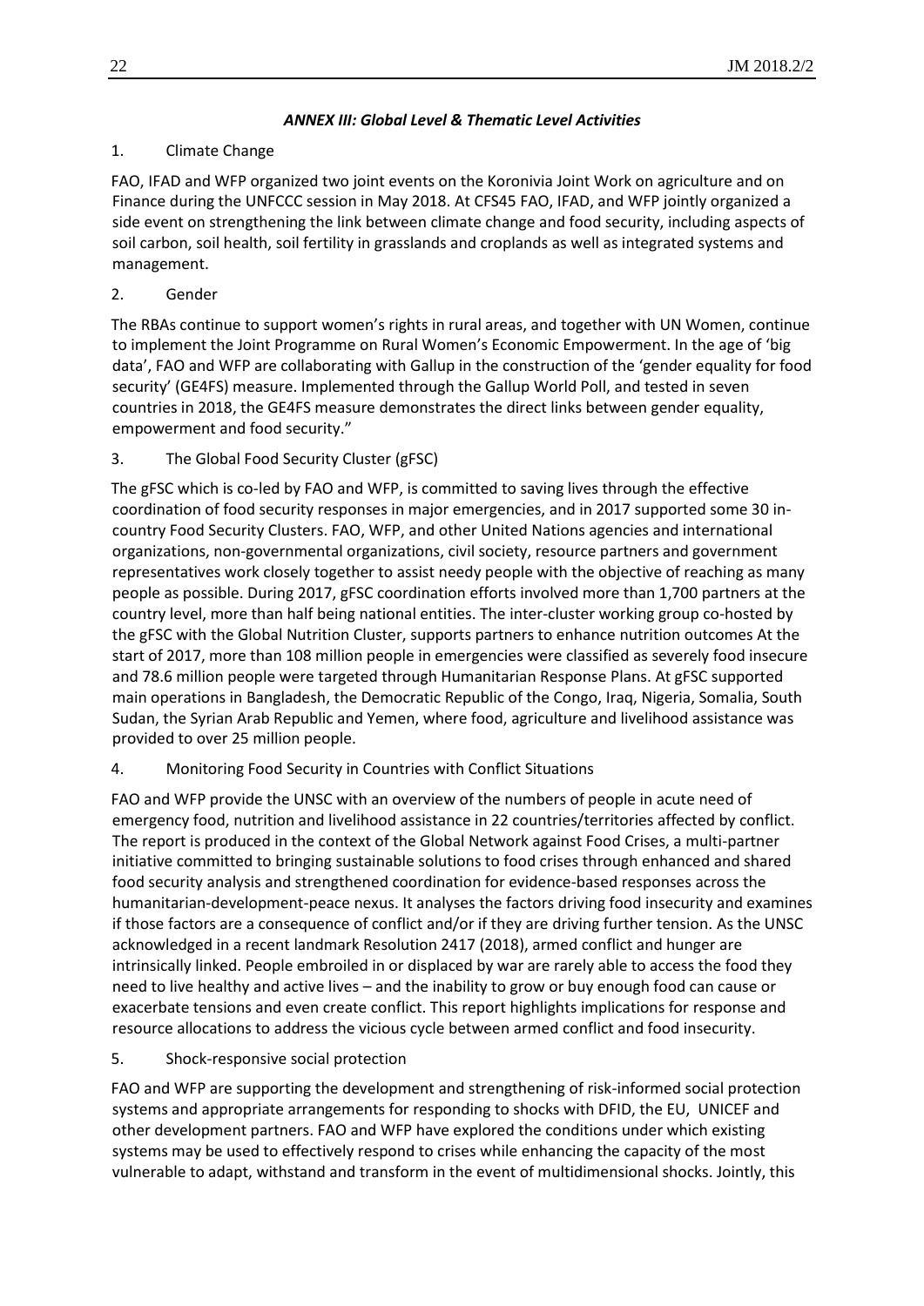# *ANNEX III: Global Level & Thematic Level Activities*

# 1. Climate Change

FAO, IFAD and WFP organized two joint events on the Koronivia Joint Work on agriculture and on Finance during the UNFCCC session in May 2018. At CFS45 FAO, IFAD, and WFP jointly organized a side event on strengthening the link between climate change and food security, including aspects of soil carbon, soil health, soil fertility in grasslands and croplands as well as integrated systems and management.

# 2. Gender

The RBAs continue to support women's rights in rural areas, and together with UN Women, continue to implement the Joint Programme on Rural Women's Economic Empowerment. In the age of 'big data', FAO and WFP are collaborating with Gallup in the construction of the 'gender equality for food security' (GE4FS) measure. Implemented through the Gallup World Poll, and tested in seven countries in 2018, the GE4FS measure demonstrates the direct links between gender equality, empowerment and food security."

3. The Global Food Security Cluster (gFSC)

The gFSC which is co-led by FAO and WFP, is committed to saving lives through the effective coordination of food security responses in major emergencies, and in 2017 supported some 30 incountry Food Security Clusters. FAO, WFP, and other United Nations agencies and international organizations, non-governmental organizations, civil society, resource partners and government representatives work closely together to assist needy people with the objective of reaching as many people as possible. During 2017, gFSC coordination efforts involved more than 1,700 partners at the country level, more than half being national entities. The inter-cluster working group co-hosted by the gFSC with the Global Nutrition Cluster, supports partners to enhance nutrition outcomes At the start of 2017, more than 108 million people in emergencies were classified as severely food insecure and 78.6 million people were targeted through Humanitarian Response Plans. At gFSC supported main operations in Bangladesh, the Democratic Republic of the Congo, Iraq, Nigeria, Somalia, South Sudan, the Syrian Arab Republic and Yemen, where food, agriculture and livelihood assistance was provided to over 25 million people.

### 4. Monitoring Food Security in Countries with Conflict Situations

FAO and WFP provide the UNSC with an overview of the numbers of people in acute need of emergency food, nutrition and livelihood assistance in 22 countries/territories affected by conflict. The report is produced in the context of the Global Network against Food Crises, a multi-partner initiative committed to bringing sustainable solutions to food crises through enhanced and shared food security analysis and strengthened coordination for evidence-based responses across the humanitarian-development-peace nexus. It analyses the factors driving food insecurity and examines if those factors are a consequence of conflict and/or if they are driving further tension. As the UNSC acknowledged in a recent landmark Resolution 2417 (2018), armed conflict and hunger are intrinsically linked. People embroiled in or displaced by war are rarely able to access the food they need to live healthy and active lives – and the inability to grow or buy enough food can cause or exacerbate tensions and even create conflict. This report highlights implications for response and resource allocations to address the vicious cycle between armed conflict and food insecurity.

# 5. Shock-responsive social protection

FAO and WFP are supporting the development and strengthening of risk-informed social protection systems and appropriate arrangements for responding to shocks with DFID, the EU, UNICEF and other development partners. FAO and WFP have explored the conditions under which existing systems may be used to effectively respond to crises while enhancing the capacity of the most vulnerable to adapt, withstand and transform in the event of multidimensional shocks. Jointly, this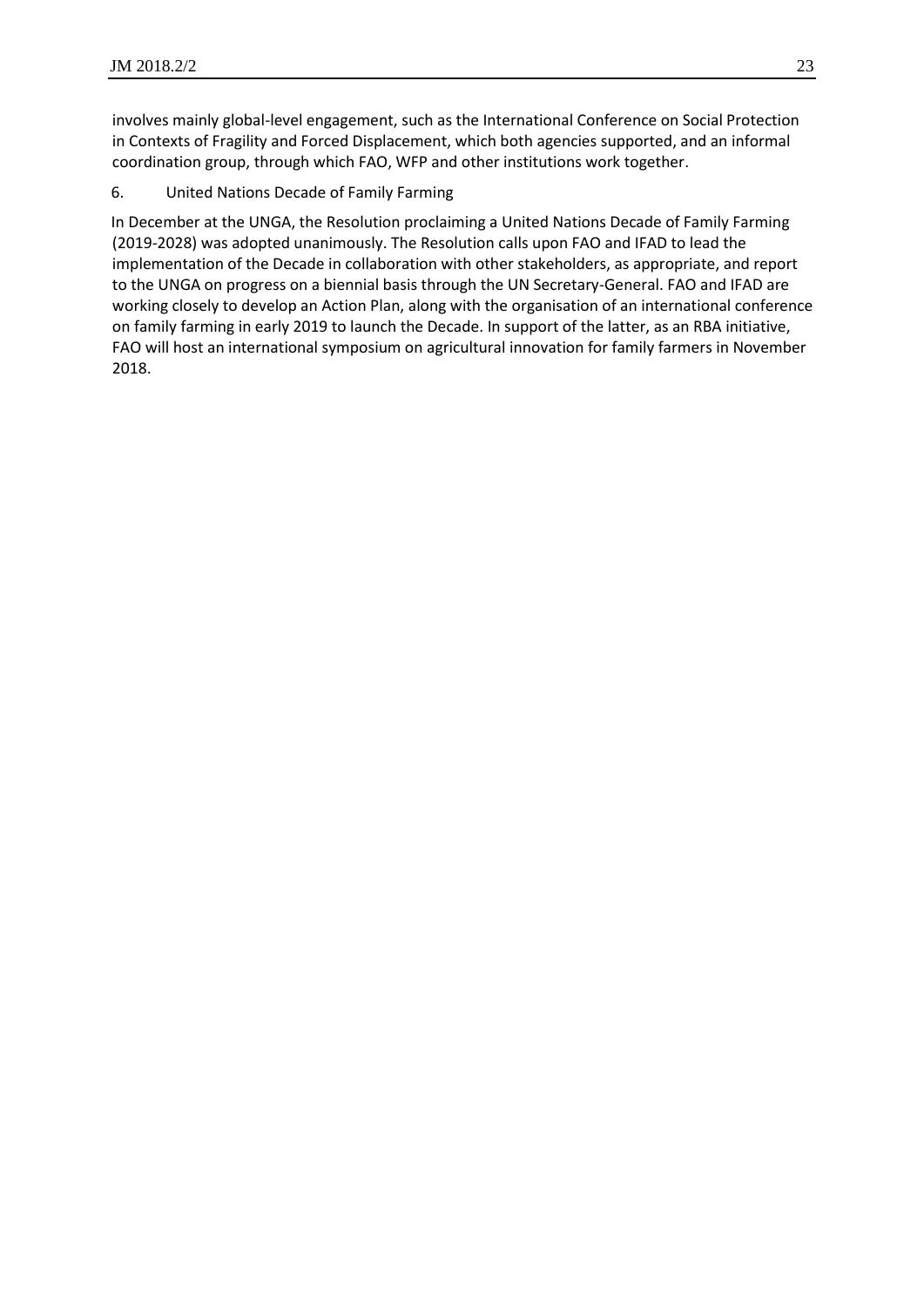involves mainly global-level engagement, such as the International Conference on Social Protection in Contexts of Fragility and Forced Displacement, which both agencies supported, and an informal coordination group, through which FAO, WFP and other institutions work together.

6. United Nations Decade of Family Farming

In December at the UNGA, the Resolution proclaiming a United Nations Decade of Family Farming (2019-2028) was adopted unanimously. The Resolution calls upon FAO and IFAD to lead the implementation of the Decade in collaboration with other stakeholders, as appropriate, and report to the UNGA on progress on a biennial basis through the UN Secretary-General. FAO and IFAD are working closely to develop an Action Plan, along with the organisation of an international conference on family farming in early 2019 to launch the Decade. In support of the latter, as an RBA initiative, FAO will host an international symposium on agricultural innovation for family farmers in November 2018.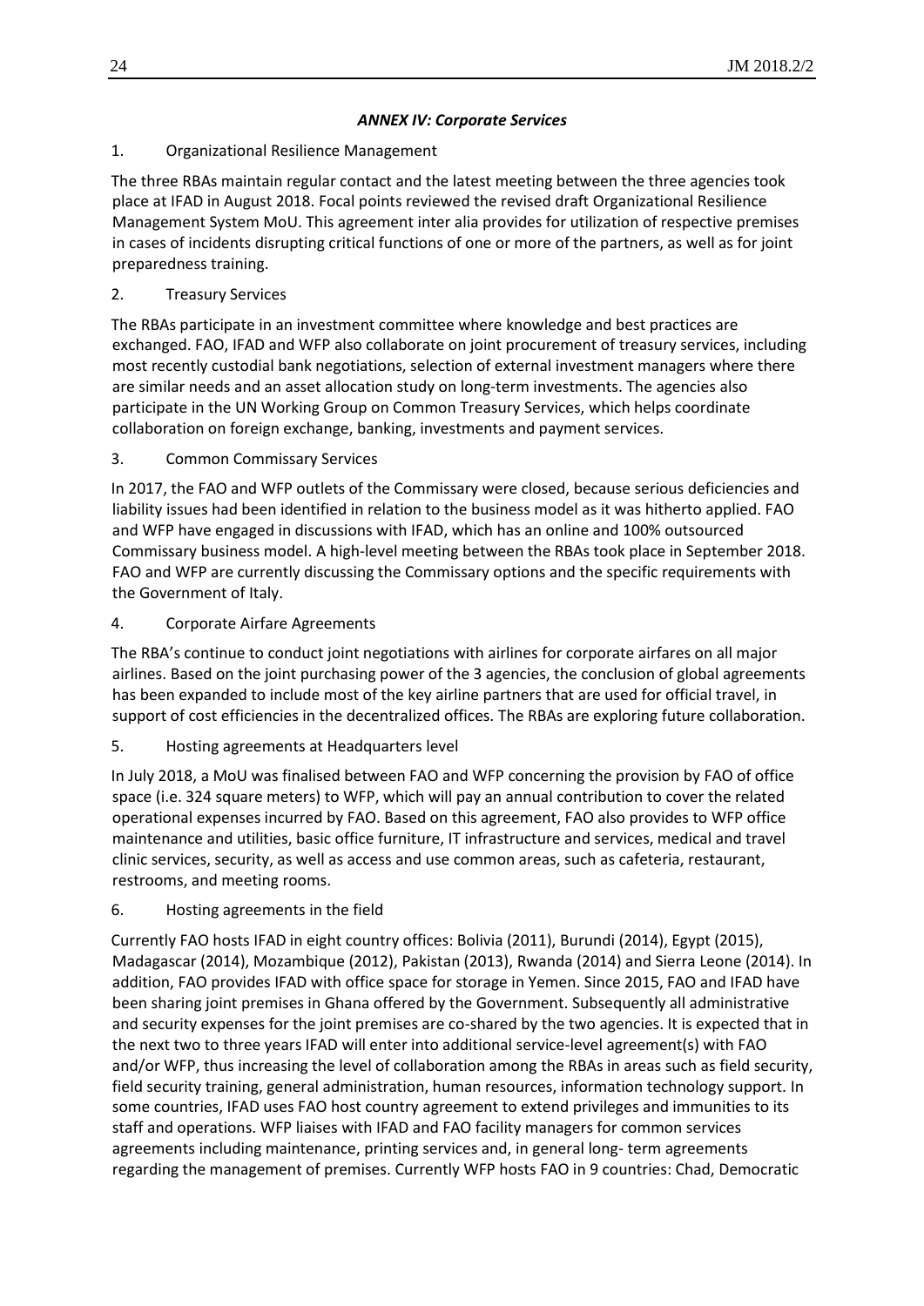# *ANNEX IV: Corporate Services*

# 1. Organizational Resilience Management

The three RBAs maintain regular contact and the latest meeting between the three agencies took place at IFAD in August 2018. Focal points reviewed the revised draft Organizational Resilience Management System MoU. This agreement inter alia provides for utilization of respective premises in cases of incidents disrupting critical functions of one or more of the partners, as well as for joint preparedness training.

# 2. Treasury Services

The RBAs participate in an investment committee where knowledge and best practices are exchanged. FAO, IFAD and WFP also collaborate on joint procurement of treasury services, including most recently custodial bank negotiations, selection of external investment managers where there are similar needs and an asset allocation study on long-term investments. The agencies also participate in the UN Working Group on Common Treasury Services, which helps coordinate collaboration on foreign exchange, banking, investments and payment services.

3. Common Commissary Services

In 2017, the FAO and WFP outlets of the Commissary were closed, because serious deficiencies and liability issues had been identified in relation to the business model as it was hitherto applied. FAO and WFP have engaged in discussions with IFAD, which has an online and 100% outsourced Commissary business model. A high-level meeting between the RBAs took place in September 2018. FAO and WFP are currently discussing the Commissary options and the specific requirements with the Government of Italy.

4. Corporate Airfare Agreements

The RBA's continue to conduct joint negotiations with airlines for corporate airfares on all major airlines. Based on the joint purchasing power of the 3 agencies, the conclusion of global agreements has been expanded to include most of the key airline partners that are used for official travel, in support of cost efficiencies in the decentralized offices. The RBAs are exploring future collaboration.

5. Hosting agreements at Headquarters level

In July 2018, a MoU was finalised between FAO and WFP concerning the provision by FAO of office space (i.e. 324 square meters) to WFP, which will pay an annual contribution to cover the related operational expenses incurred by FAO. Based on this agreement, FAO also provides to WFP office maintenance and utilities, basic office furniture, IT infrastructure and services, medical and travel clinic services, security, as well as access and use common areas, such as cafeteria, restaurant, restrooms, and meeting rooms.

# 6. Hosting agreements in the field

Currently FAO hosts IFAD in eight country offices: Bolivia (2011), Burundi (2014), Egypt (2015), Madagascar (2014), Mozambique (2012), Pakistan (2013), Rwanda (2014) and Sierra Leone (2014). In addition, FAO provides IFAD with office space for storage in Yemen. Since 2015, FAO and IFAD have been sharing joint premises in Ghana offered by the Government. Subsequently all administrative and security expenses for the joint premises are co-shared by the two agencies. It is expected that in the next two to three years IFAD will enter into additional service-level agreement(s) with FAO and/or WFP, thus increasing the level of collaboration among the RBAs in areas such as field security, field security training, general administration, human resources, information technology support. In some countries, IFAD uses FAO host country agreement to extend privileges and immunities to its staff and operations. WFP liaises with IFAD and FAO facility managers for common services agreements including maintenance, printing services and, in general long- term agreements regarding the management of premises. Currently WFP hosts FAO in 9 countries: Chad, Democratic